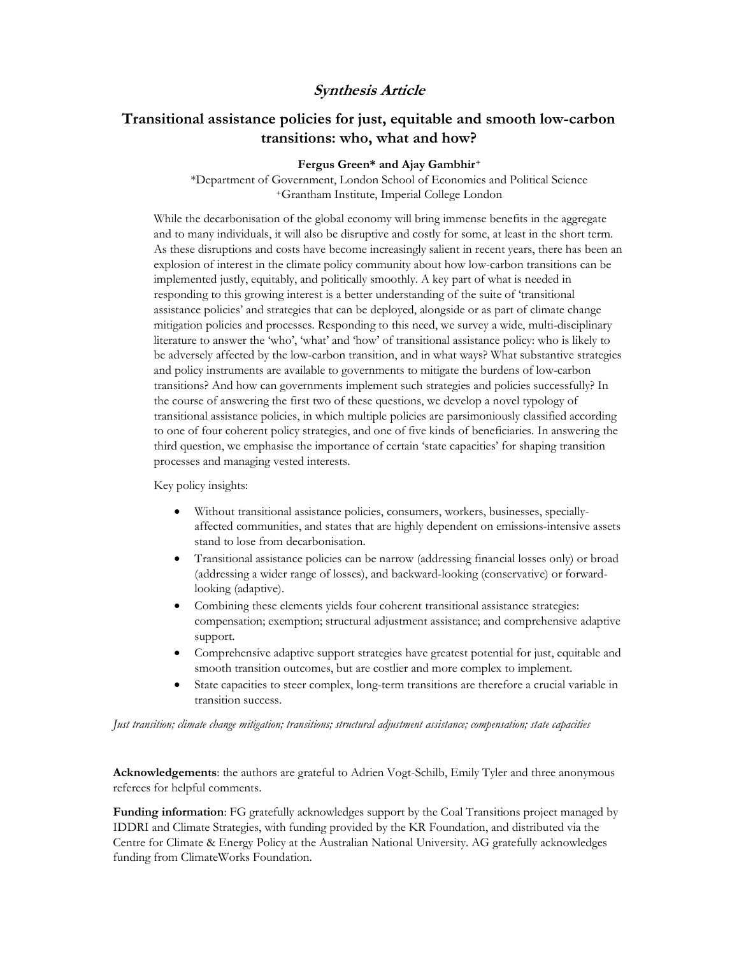# Synthesis Article

# Transitional assistance policies for just, equitable and smooth low-carbon transitions: who, what and how?

# Fergus Green\* and Ajay Gambhir<sup>+</sup>

\*Department of Government, London School of Economics and Political Science <sup>+</sup>Grantham Institute, Imperial College London

While the decarbonisation of the global economy will bring immense benefits in the aggregate and to many individuals, it will also be disruptive and costly for some, at least in the short term. As these disruptions and costs have become increasingly salient in recent years, there has been an explosion of interest in the climate policy community about how low-carbon transitions can be implemented justly, equitably, and politically smoothly. A key part of what is needed in responding to this growing interest is a better understanding of the suite of 'transitional assistance policies' and strategies that can be deployed, alongside or as part of climate change mitigation policies and processes. Responding to this need, we survey a wide, multi-disciplinary literature to answer the 'who', 'what' and 'how' of transitional assistance policy: who is likely to be adversely affected by the low-carbon transition, and in what ways? What substantive strategies and policy instruments are available to governments to mitigate the burdens of low-carbon transitions? And how can governments implement such strategies and policies successfully? In the course of answering the first two of these questions, we develop a novel typology of transitional assistance policies, in which multiple policies are parsimoniously classified according to one of four coherent policy strategies, and one of five kinds of beneficiaries. In answering the third question, we emphasise the importance of certain 'state capacities' for shaping transition processes and managing vested interests.

Key policy insights:

- Without transitional assistance policies, consumers, workers, businesses, speciallyaffected communities, and states that are highly dependent on emissions-intensive assets stand to lose from decarbonisation.
- Transitional assistance policies can be narrow (addressing financial losses only) or broad (addressing a wider range of losses), and backward-looking (conservative) or forwardlooking (adaptive).
- Combining these elements yields four coherent transitional assistance strategies: compensation; exemption; structural adjustment assistance; and comprehensive adaptive support.
- Comprehensive adaptive support strategies have greatest potential for just, equitable and smooth transition outcomes, but are costlier and more complex to implement.
- State capacities to steer complex, long-term transitions are therefore a crucial variable in transition success.

Just transition; climate change mitigation; transitions; structural adjustment assistance; compensation; state capacities

Acknowledgements: the authors are grateful to Adrien Vogt-Schilb, Emily Tyler and three anonymous referees for helpful comments.

Funding information: FG gratefully acknowledges support by the Coal Transitions project managed by IDDRI and Climate Strategies, with funding provided by the KR Foundation, and distributed via the Centre for Climate & Energy Policy at the Australian National University. AG gratefully acknowledges funding from ClimateWorks Foundation.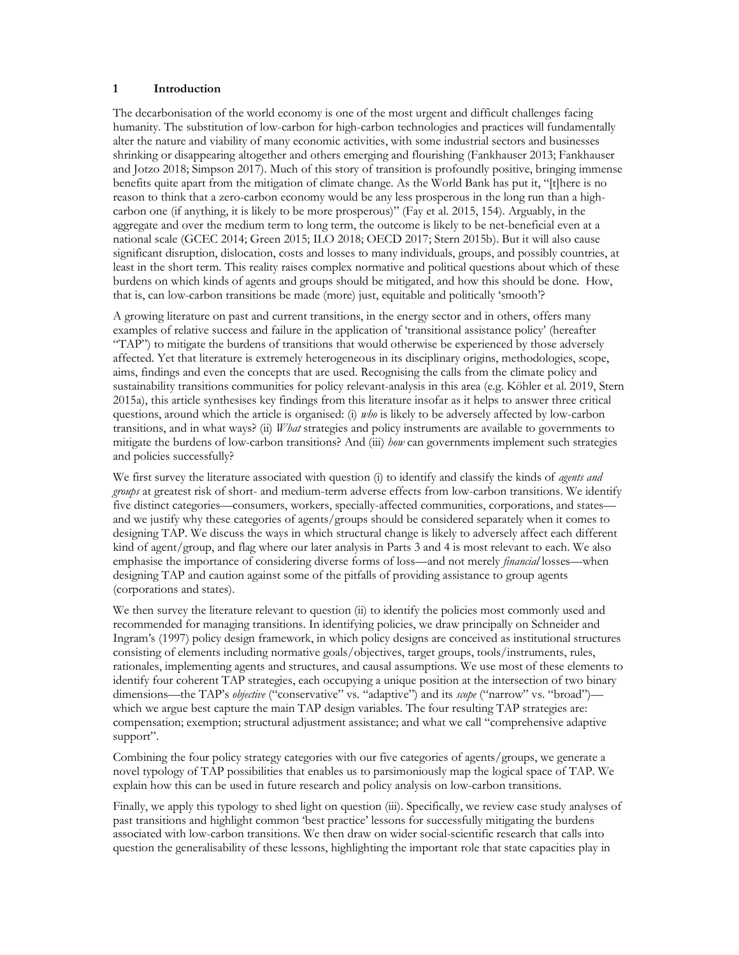## 1 Introduction

The decarbonisation of the world economy is one of the most urgent and difficult challenges facing humanity. The substitution of low-carbon for high-carbon technologies and practices will fundamentally alter the nature and viability of many economic activities, with some industrial sectors and businesses shrinking or disappearing altogether and others emerging and flourishing (Fankhauser 2013; Fankhauser and Jotzo 2018; Simpson 2017). Much of this story of transition is profoundly positive, bringing immense benefits quite apart from the mitigation of climate change. As the World Bank has put it, "[t]here is no reason to think that a zero-carbon economy would be any less prosperous in the long run than a highcarbon one (if anything, it is likely to be more prosperous)" (Fay et al. 2015, 154). Arguably, in the aggregate and over the medium term to long term, the outcome is likely to be net-beneficial even at a national scale (GCEC 2014; Green 2015; ILO 2018; OECD 2017; Stern 2015b). But it will also cause significant disruption, dislocation, costs and losses to many individuals, groups, and possibly countries, at least in the short term. This reality raises complex normative and political questions about which of these burdens on which kinds of agents and groups should be mitigated, and how this should be done. How, that is, can low-carbon transitions be made (more) just, equitable and politically 'smooth'?

A growing literature on past and current transitions, in the energy sector and in others, offers many examples of relative success and failure in the application of 'transitional assistance policy' (hereafter "TAP") to mitigate the burdens of transitions that would otherwise be experienced by those adversely affected. Yet that literature is extremely heterogeneous in its disciplinary origins, methodologies, scope, aims, findings and even the concepts that are used. Recognising the calls from the climate policy and sustainability transitions communities for policy relevant-analysis in this area (e.g. Köhler et al. 2019, Stern 2015a), this article synthesises key findings from this literature insofar as it helps to answer three critical questions, around which the article is organised: (i) who is likely to be adversely affected by low-carbon transitions, and in what ways? (ii) *What* strategies and policy instruments are available to governments to mitigate the burdens of low-carbon transitions? And (iii) how can governments implement such strategies and policies successfully?

We first survey the literature associated with question (i) to identify and classify the kinds of agents and groups at greatest risk of short- and medium-term adverse effects from low-carbon transitions. We identify five distinct categories—consumers, workers, specially-affected communities, corporations, and states and we justify why these categories of agents/groups should be considered separately when it comes to designing TAP. We discuss the ways in which structural change is likely to adversely affect each different kind of agent/group, and flag where our later analysis in Parts 3 and 4 is most relevant to each. We also emphasise the importance of considering diverse forms of loss—and not merely *financial* losses—when designing TAP and caution against some of the pitfalls of providing assistance to group agents (corporations and states).

We then survey the literature relevant to question (ii) to identify the policies most commonly used and recommended for managing transitions. In identifying policies, we draw principally on Schneider and Ingram's (1997) policy design framework, in which policy designs are conceived as institutional structures consisting of elements including normative goals/objectives, target groups, tools/instruments, rules, rationales, implementing agents and structures, and causal assumptions. We use most of these elements to identify four coherent TAP strategies, each occupying a unique position at the intersection of two binary dimensions—the TAP's objective ("conservative" vs. "adaptive") and its scope ("narrow" vs. "broad") which we argue best capture the main TAP design variables. The four resulting TAP strategies are: compensation; exemption; structural adjustment assistance; and what we call "comprehensive adaptive support".

Combining the four policy strategy categories with our five categories of agents/groups, we generate a novel typology of TAP possibilities that enables us to parsimoniously map the logical space of TAP. We explain how this can be used in future research and policy analysis on low-carbon transitions.

Finally, we apply this typology to shed light on question (iii). Specifically, we review case study analyses of past transitions and highlight common 'best practice' lessons for successfully mitigating the burdens associated with low-carbon transitions. We then draw on wider social-scientific research that calls into question the generalisability of these lessons, highlighting the important role that state capacities play in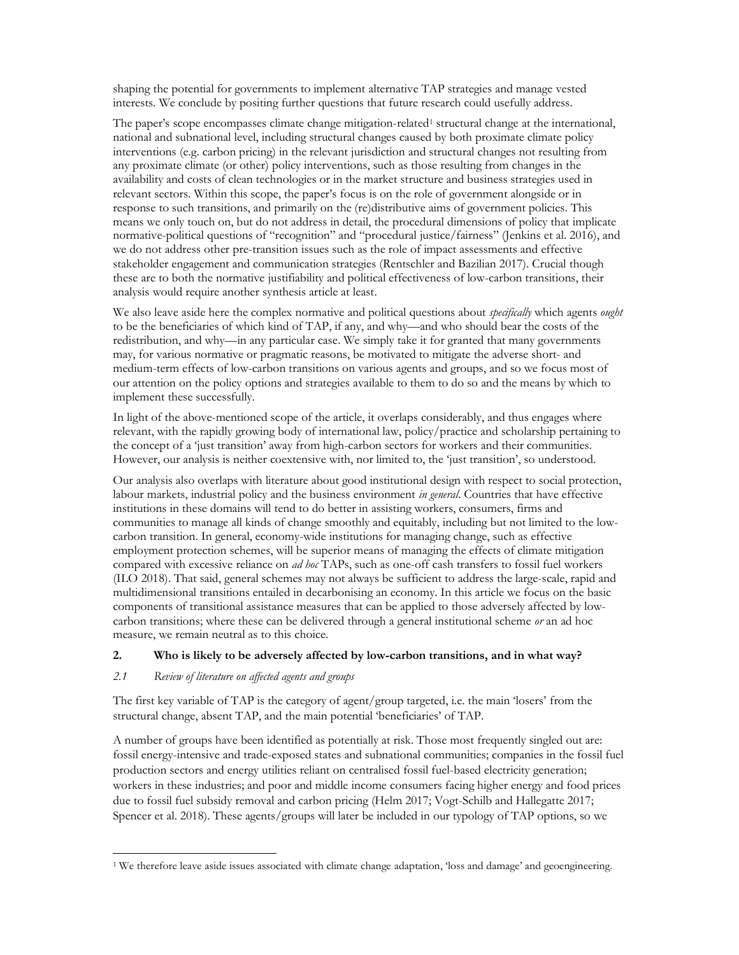shaping the potential for governments to implement alternative TAP strategies and manage vested interests. We conclude by positing further questions that future research could usefully address.

The paper's scope encompasses climate change mitigation-related<sup>1</sup> structural change at the international, national and subnational level, including structural changes caused by both proximate climate policy interventions (e.g. carbon pricing) in the relevant jurisdiction and structural changes not resulting from any proximate climate (or other) policy interventions, such as those resulting from changes in the availability and costs of clean technologies or in the market structure and business strategies used in relevant sectors. Within this scope, the paper's focus is on the role of government alongside or in response to such transitions, and primarily on the (re)distributive aims of government policies. This means we only touch on, but do not address in detail, the procedural dimensions of policy that implicate normative-political questions of "recognition" and "procedural justice/fairness" (Jenkins et al. 2016), and we do not address other pre-transition issues such as the role of impact assessments and effective stakeholder engagement and communication strategies (Rentschler and Bazilian 2017). Crucial though these are to both the normative justifiability and political effectiveness of low-carbon transitions, their analysis would require another synthesis article at least.

We also leave aside here the complex normative and political questions about *specifically* which agents ought to be the beneficiaries of which kind of TAP, if any, and why—and who should bear the costs of the redistribution, and why—in any particular case. We simply take it for granted that many governments may, for various normative or pragmatic reasons, be motivated to mitigate the adverse short- and medium-term effects of low-carbon transitions on various agents and groups, and so we focus most of our attention on the policy options and strategies available to them to do so and the means by which to implement these successfully.

In light of the above-mentioned scope of the article, it overlaps considerably, and thus engages where relevant, with the rapidly growing body of international law, policy/practice and scholarship pertaining to the concept of a 'just transition' away from high-carbon sectors for workers and their communities. However, our analysis is neither coextensive with, nor limited to, the 'just transition', so understood.

Our analysis also overlaps with literature about good institutional design with respect to social protection, labour markets, industrial policy and the business environment in general. Countries that have effective institutions in these domains will tend to do better in assisting workers, consumers, firms and communities to manage all kinds of change smoothly and equitably, including but not limited to the lowcarbon transition. In general, economy-wide institutions for managing change, such as effective employment protection schemes, will be superior means of managing the effects of climate mitigation compared with excessive reliance on *ad hoc* TAPs, such as one-off cash transfers to fossil fuel workers (ILO 2018). That said, general schemes may not always be sufficient to address the large-scale, rapid and multidimensional transitions entailed in decarbonising an economy. In this article we focus on the basic components of transitional assistance measures that can be applied to those adversely affected by lowcarbon transitions; where these can be delivered through a general institutional scheme or an ad hoc measure, we remain neutral as to this choice.

# 2. Who is likely to be adversely affected by low-carbon transitions, and in what way?

# 2.1 Review of literature on affected agents and groups

The first key variable of TAP is the category of agent/group targeted, i.e. the main 'losers' from the structural change, absent TAP, and the main potential 'beneficiaries' of TAP.

A number of groups have been identified as potentially at risk. Those most frequently singled out are: fossil energy-intensive and trade-exposed states and subnational communities; companies in the fossil fuel production sectors and energy utilities reliant on centralised fossil fuel-based electricity generation; workers in these industries; and poor and middle income consumers facing higher energy and food prices due to fossil fuel subsidy removal and carbon pricing (Helm 2017; Vogt-Schilb and Hallegatte 2017; Spencer et al. 2018). These agents/groups will later be included in our typology of TAP options, so we

<sup>&</sup>lt;sup>1</sup> We therefore leave aside issues associated with climate change adaptation, 'loss and damage' and geoengineering.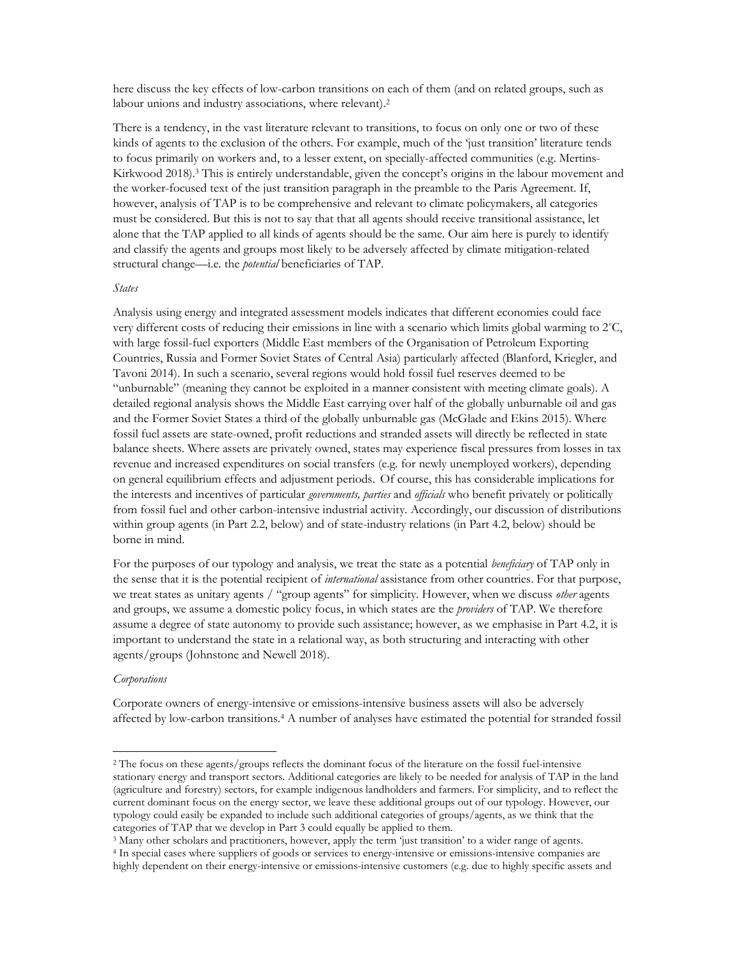here discuss the key effects of low-carbon transitions on each of them (and on related groups, such as labour unions and industry associations, where relevant).<sup>2</sup>

There is a tendency, in the vast literature relevant to transitions, to focus on only one or two of these kinds of agents to the exclusion of the others. For example, much of the 'just transition' literature tends to focus primarily on workers and, to a lesser extent, on specially-affected communities (e.g. Mertins-Kirkwood 2018).<sup>3</sup> This is entirely understandable, given the concept's origins in the labour movement and the worker-focused text of the just transition paragraph in the preamble to the Paris Agreement. If, however, analysis of TAP is to be comprehensive and relevant to climate policymakers, all categories must be considered. But this is not to say that that all agents should receive transitional assistance, let alone that the TAP applied to all kinds of agents should be the same. Our aim here is purely to identify and classify the agents and groups most likely to be adversely affected by climate mitigation-related structural change—i.e. the *potential* beneficiaries of TAP.

#### States

Analysis using energy and integrated assessment models indicates that different economies could face very different costs of reducing their emissions in line with a scenario which limits global warming to 2°C, with large fossil-fuel exporters (Middle East members of the Organisation of Petroleum Exporting Countries, Russia and Former Soviet States of Central Asia) particularly affected (Blanford, Kriegler, and Tavoni 2014). In such a scenario, several regions would hold fossil fuel reserves deemed to be "unburnable" (meaning they cannot be exploited in a manner consistent with meeting climate goals). A detailed regional analysis shows the Middle East carrying over half of the globally unburnable oil and gas and the Former Soviet States a third of the globally unburnable gas (McGlade and Ekins 2015). Where fossil fuel assets are state-owned, profit reductions and stranded assets will directly be reflected in state balance sheets. Where assets are privately owned, states may experience fiscal pressures from losses in tax revenue and increased expenditures on social transfers (e.g. for newly unemployed workers), depending on general equilibrium effects and adjustment periods. Of course, this has considerable implications for the interests and incentives of particular *governments*, parties and officials who benefit privately or politically from fossil fuel and other carbon-intensive industrial activity. Accordingly, our discussion of distributions within group agents (in Part 2.2, below) and of state-industry relations (in Part 4.2, below) should be borne in mind.

For the purposes of our typology and analysis, we treat the state as a potential *beneficiary* of TAP only in the sense that it is the potential recipient of *international* assistance from other countries. For that purpose, we treat states as unitary agents / "group agents" for simplicity. However, when we discuss other agents and groups, we assume a domestic policy focus, in which states are the *providers* of TAP. We therefore assume a degree of state autonomy to provide such assistance; however, as we emphasise in Part 4.2, it is important to understand the state in a relational way, as both structuring and interacting with other agents/groups (Johnstone and Newell 2018).

#### **Corporations**

Corporate owners of energy-intensive or emissions-intensive business assets will also be adversely affected by low-carbon transitions.<sup>4</sup> A number of analyses have estimated the potential for stranded fossil

<sup>2</sup> The focus on these agents/groups reflects the dominant focus of the literature on the fossil fuel-intensive stationary energy and transport sectors. Additional categories are likely to be needed for analysis of TAP in the land (agriculture and forestry) sectors, for example indigenous landholders and farmers. For simplicity, and to reflect the current dominant focus on the energy sector, we leave these additional groups out of our typology. However, our typology could easily be expanded to include such additional categories of groups/agents, as we think that the categories of TAP that we develop in Part 3 could equally be applied to them.

<sup>&</sup>lt;sup>3</sup> Many other scholars and practitioners, however, apply the term 'just transition' to a wider range of agents.

<sup>4</sup> In special cases where suppliers of goods or services to energy-intensive or emissions-intensive companies are highly dependent on their energy-intensive or emissions-intensive customers (e.g. due to highly specific assets and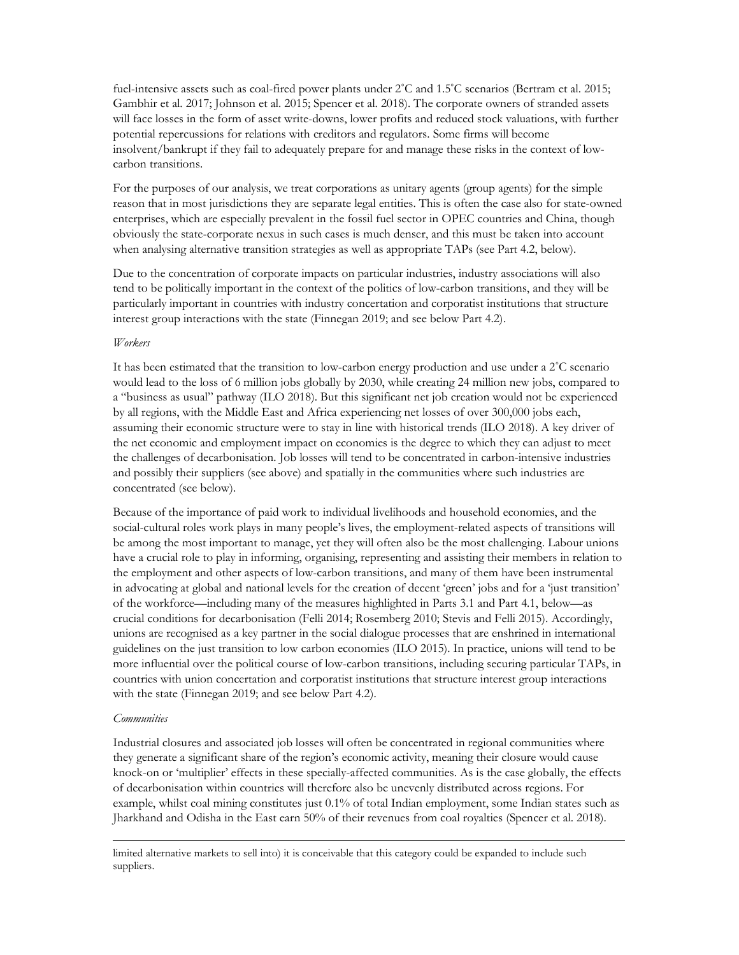fuel-intensive assets such as coal-fired power plants under 2°C and 1.5°C scenarios (Bertram et al. 2015; Gambhir et al. 2017; Johnson et al. 2015; Spencer et al. 2018). The corporate owners of stranded assets will face losses in the form of asset write-downs, lower profits and reduced stock valuations, with further potential repercussions for relations with creditors and regulators. Some firms will become insolvent/bankrupt if they fail to adequately prepare for and manage these risks in the context of lowcarbon transitions.

For the purposes of our analysis, we treat corporations as unitary agents (group agents) for the simple reason that in most jurisdictions they are separate legal entities. This is often the case also for state-owned enterprises, which are especially prevalent in the fossil fuel sector in OPEC countries and China, though obviously the state-corporate nexus in such cases is much denser, and this must be taken into account when analysing alternative transition strategies as well as appropriate TAPs (see Part 4.2, below).

Due to the concentration of corporate impacts on particular industries, industry associations will also tend to be politically important in the context of the politics of low-carbon transitions, and they will be particularly important in countries with industry concertation and corporatist institutions that structure interest group interactions with the state (Finnegan 2019; and see below Part 4.2).

#### Workers

It has been estimated that the transition to low-carbon energy production and use under a 2°C scenario would lead to the loss of 6 million jobs globally by 2030, while creating 24 million new jobs, compared to a "business as usual" pathway (ILO 2018). But this significant net job creation would not be experienced by all regions, with the Middle East and Africa experiencing net losses of over 300,000 jobs each, assuming their economic structure were to stay in line with historical trends (ILO 2018). A key driver of the net economic and employment impact on economies is the degree to which they can adjust to meet the challenges of decarbonisation. Job losses will tend to be concentrated in carbon-intensive industries and possibly their suppliers (see above) and spatially in the communities where such industries are concentrated (see below).

Because of the importance of paid work to individual livelihoods and household economies, and the social-cultural roles work plays in many people's lives, the employment-related aspects of transitions will be among the most important to manage, yet they will often also be the most challenging. Labour unions have a crucial role to play in informing, organising, representing and assisting their members in relation to the employment and other aspects of low-carbon transitions, and many of them have been instrumental in advocating at global and national levels for the creation of decent 'green' jobs and for a 'just transition' of the workforce—including many of the measures highlighted in Parts 3.1 and Part 4.1, below—as crucial conditions for decarbonisation (Felli 2014; Rosemberg 2010; Stevis and Felli 2015). Accordingly, unions are recognised as a key partner in the social dialogue processes that are enshrined in international guidelines on the just transition to low carbon economies (ILO 2015). In practice, unions will tend to be more influential over the political course of low-carbon transitions, including securing particular TAPs, in countries with union concertation and corporatist institutions that structure interest group interactions with the state (Finnegan 2019; and see below Part 4.2).

#### **Communities**

Industrial closures and associated job losses will often be concentrated in regional communities where they generate a significant share of the region's economic activity, meaning their closure would cause knock-on or 'multiplier' effects in these specially-affected communities. As is the case globally, the effects of decarbonisation within countries will therefore also be unevenly distributed across regions. For example, whilst coal mining constitutes just 0.1% of total Indian employment, some Indian states such as Jharkhand and Odisha in the East earn 50% of their revenues from coal royalties (Spencer et al. 2018).

limited alternative markets to sell into) it is conceivable that this category could be expanded to include such suppliers.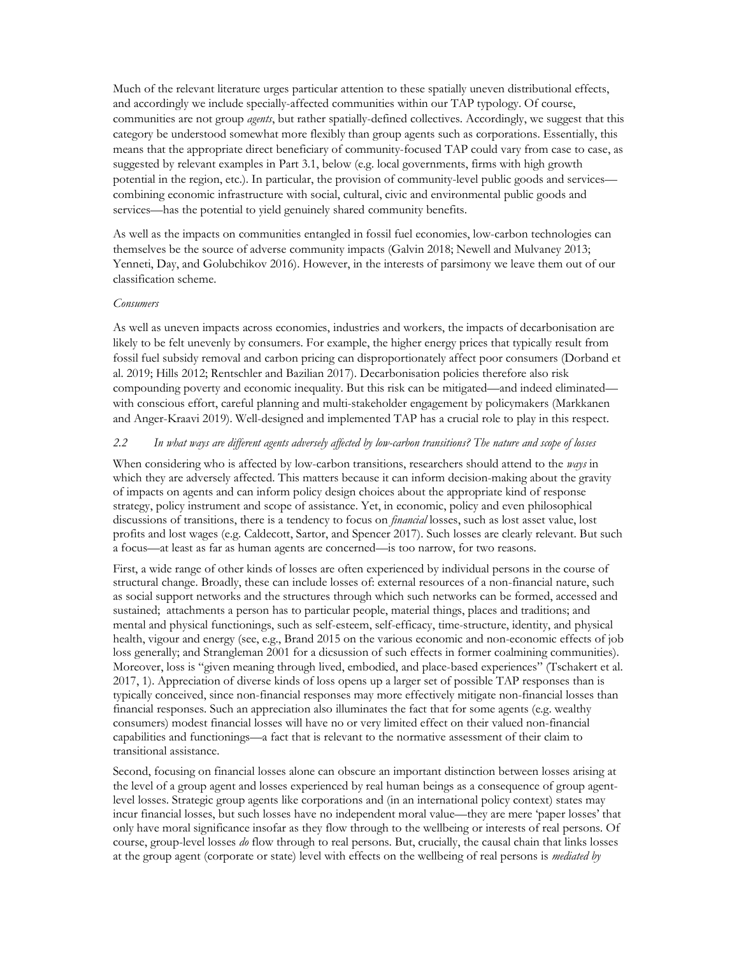Much of the relevant literature urges particular attention to these spatially uneven distributional effects, and accordingly we include specially-affected communities within our TAP typology. Of course, communities are not group *agents*, but rather spatially-defined collectives. Accordingly, we suggest that this category be understood somewhat more flexibly than group agents such as corporations. Essentially, this means that the appropriate direct beneficiary of community-focused TAP could vary from case to case, as suggested by relevant examples in Part 3.1, below (e.g. local governments, firms with high growth potential in the region, etc.). In particular, the provision of community-level public goods and services combining economic infrastructure with social, cultural, civic and environmental public goods and services—has the potential to yield genuinely shared community benefits.

As well as the impacts on communities entangled in fossil fuel economies, low-carbon technologies can themselves be the source of adverse community impacts (Galvin 2018; Newell and Mulvaney 2013; Yenneti, Day, and Golubchikov 2016). However, in the interests of parsimony we leave them out of our classification scheme.

#### Consumers

As well as uneven impacts across economies, industries and workers, the impacts of decarbonisation are likely to be felt unevenly by consumers. For example, the higher energy prices that typically result from fossil fuel subsidy removal and carbon pricing can disproportionately affect poor consumers (Dorband et al. 2019; Hills 2012; Rentschler and Bazilian 2017). Decarbonisation policies therefore also risk compounding poverty and economic inequality. But this risk can be mitigated—and indeed eliminated with conscious effort, careful planning and multi-stakeholder engagement by policymakers (Markkanen and Anger-Kraavi 2019). Well-designed and implemented TAP has a crucial role to play in this respect.

#### 2.2 In what ways are different agents adversely affected by low-carbon transitions? The nature and scope of losses

When considering who is affected by low-carbon transitions, researchers should attend to the ways in which they are adversely affected. This matters because it can inform decision-making about the gravity of impacts on agents and can inform policy design choices about the appropriate kind of response strategy, policy instrument and scope of assistance. Yet, in economic, policy and even philosophical discussions of transitions, there is a tendency to focus on *financial* losses, such as lost asset value, lost profits and lost wages (e.g. Caldecott, Sartor, and Spencer 2017). Such losses are clearly relevant. But such a focus—at least as far as human agents are concerned—is too narrow, for two reasons.

First, a wide range of other kinds of losses are often experienced by individual persons in the course of structural change. Broadly, these can include losses of: external resources of a non-financial nature, such as social support networks and the structures through which such networks can be formed, accessed and sustained; attachments a person has to particular people, material things, places and traditions; and mental and physical functionings, such as self-esteem, self-efficacy, time-structure, identity, and physical health, vigour and energy (see, e.g., Brand 2015 on the various economic and non-economic effects of job loss generally; and Strangleman 2001 for a dicsussion of such effects in former coalmining communities). Moreover, loss is "given meaning through lived, embodied, and place-based experiences" (Tschakert et al. 2017, 1). Appreciation of diverse kinds of loss opens up a larger set of possible TAP responses than is typically conceived, since non-financial responses may more effectively mitigate non-financial losses than financial responses. Such an appreciation also illuminates the fact that for some agents (e.g. wealthy consumers) modest financial losses will have no or very limited effect on their valued non-financial capabilities and functionings—a fact that is relevant to the normative assessment of their claim to transitional assistance.

Second, focusing on financial losses alone can obscure an important distinction between losses arising at the level of a group agent and losses experienced by real human beings as a consequence of group agentlevel losses. Strategic group agents like corporations and (in an international policy context) states may incur financial losses, but such losses have no independent moral value—they are mere 'paper losses' that only have moral significance insofar as they flow through to the wellbeing or interests of real persons. Of course, group-level losses do flow through to real persons. But, crucially, the causal chain that links losses at the group agent (corporate or state) level with effects on the wellbeing of real persons is mediated by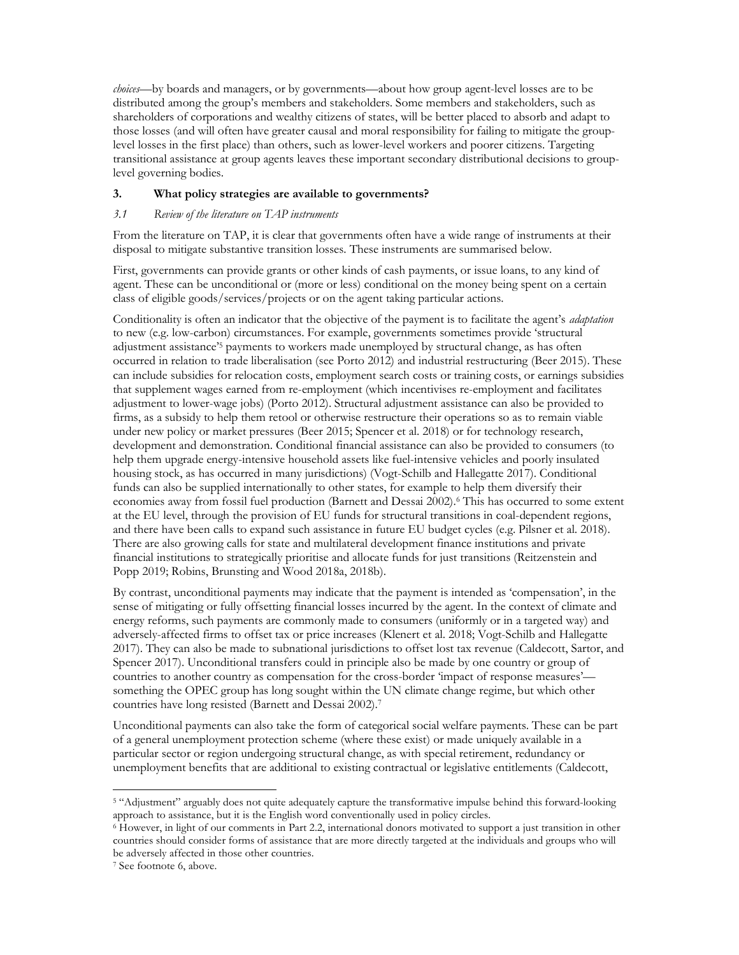choices—by boards and managers, or by governments—about how group agent-level losses are to be distributed among the group's members and stakeholders. Some members and stakeholders, such as shareholders of corporations and wealthy citizens of states, will be better placed to absorb and adapt to those losses (and will often have greater causal and moral responsibility for failing to mitigate the grouplevel losses in the first place) than others, such as lower-level workers and poorer citizens. Targeting transitional assistance at group agents leaves these important secondary distributional decisions to grouplevel governing bodies.

#### 3. What policy strategies are available to governments?

#### 3.1 Review of the literature on TAP instruments

From the literature on TAP, it is clear that governments often have a wide range of instruments at their disposal to mitigate substantive transition losses. These instruments are summarised below.

First, governments can provide grants or other kinds of cash payments, or issue loans, to any kind of agent. These can be unconditional or (more or less) conditional on the money being spent on a certain class of eligible goods/services/projects or on the agent taking particular actions.

Conditionality is often an indicator that the objective of the payment is to facilitate the agent's *adaptation* to new (e.g. low-carbon) circumstances. For example, governments sometimes provide 'structural adjustment assistance<sup>'5</sup> payments to workers made unemployed by structural change, as has often occurred in relation to trade liberalisation (see Porto 2012) and industrial restructuring (Beer 2015). These can include subsidies for relocation costs, employment search costs or training costs, or earnings subsidies that supplement wages earned from re-employment (which incentivises re-employment and facilitates adjustment to lower-wage jobs) (Porto 2012). Structural adjustment assistance can also be provided to firms, as a subsidy to help them retool or otherwise restructure their operations so as to remain viable under new policy or market pressures (Beer 2015; Spencer et al. 2018) or for technology research, development and demonstration. Conditional financial assistance can also be provided to consumers (to help them upgrade energy-intensive household assets like fuel-intensive vehicles and poorly insulated housing stock, as has occurred in many jurisdictions) (Vogt-Schilb and Hallegatte 2017). Conditional funds can also be supplied internationally to other states, for example to help them diversify their economies away from fossil fuel production (Barnett and Dessai 2002).6 This has occurred to some extent at the EU level, through the provision of EU funds for structural transitions in coal-dependent regions, and there have been calls to expand such assistance in future EU budget cycles (e.g. Pilsner et al. 2018). There are also growing calls for state and multilateral development finance institutions and private financial institutions to strategically prioritise and allocate funds for just transitions (Reitzenstein and Popp 2019; Robins, Brunsting and Wood 2018a, 2018b).

By contrast, unconditional payments may indicate that the payment is intended as 'compensation', in the sense of mitigating or fully offsetting financial losses incurred by the agent. In the context of climate and energy reforms, such payments are commonly made to consumers (uniformly or in a targeted way) and adversely-affected firms to offset tax or price increases (Klenert et al. 2018; Vogt-Schilb and Hallegatte 2017). They can also be made to subnational jurisdictions to offset lost tax revenue (Caldecott, Sartor, and Spencer 2017). Unconditional transfers could in principle also be made by one country or group of countries to another country as compensation for the cross-border 'impact of response measures' something the OPEC group has long sought within the UN climate change regime, but which other countries have long resisted (Barnett and Dessai 2002).<sup>7</sup>

Unconditional payments can also take the form of categorical social welfare payments. These can be part of a general unemployment protection scheme (where these exist) or made uniquely available in a particular sector or region undergoing structural change, as with special retirement, redundancy or unemployment benefits that are additional to existing contractual or legislative entitlements (Caldecott,

<sup>5</sup> "Adjustment" arguably does not quite adequately capture the transformative impulse behind this forward-looking approach to assistance, but it is the English word conventionally used in policy circles.

<sup>6</sup> However, in light of our comments in Part 2.2, international donors motivated to support a just transition in other countries should consider forms of assistance that are more directly targeted at the individuals and groups who will be adversely affected in those other countries.

<sup>7</sup> See footnote 6, above.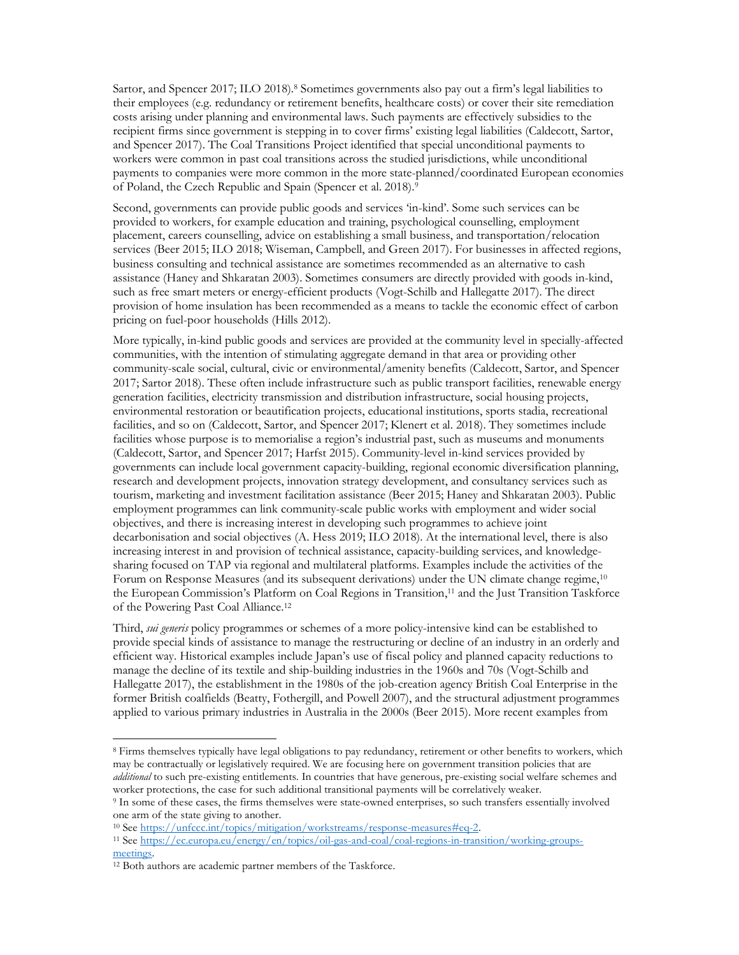Sartor, and Spencer 2017; ILO 2018).8 Sometimes governments also pay out a firm's legal liabilities to their employees (e.g. redundancy or retirement benefits, healthcare costs) or cover their site remediation costs arising under planning and environmental laws. Such payments are effectively subsidies to the recipient firms since government is stepping in to cover firms' existing legal liabilities (Caldecott, Sartor, and Spencer 2017). The Coal Transitions Project identified that special unconditional payments to workers were common in past coal transitions across the studied jurisdictions, while unconditional payments to companies were more common in the more state-planned/coordinated European economies of Poland, the Czech Republic and Spain (Spencer et al. 2018).<sup>9</sup>

Second, governments can provide public goods and services 'in-kind'. Some such services can be provided to workers, for example education and training, psychological counselling, employment placement, careers counselling, advice on establishing a small business, and transportation/relocation services (Beer 2015; ILO 2018; Wiseman, Campbell, and Green 2017). For businesses in affected regions, business consulting and technical assistance are sometimes recommended as an alternative to cash assistance (Haney and Shkaratan 2003). Sometimes consumers are directly provided with goods in-kind, such as free smart meters or energy-efficient products (Vogt-Schilb and Hallegatte 2017). The direct provision of home insulation has been recommended as a means to tackle the economic effect of carbon pricing on fuel-poor households (Hills 2012).

More typically, in-kind public goods and services are provided at the community level in specially-affected communities, with the intention of stimulating aggregate demand in that area or providing other community-scale social, cultural, civic or environmental/amenity benefits (Caldecott, Sartor, and Spencer 2017; Sartor 2018). These often include infrastructure such as public transport facilities, renewable energy generation facilities, electricity transmission and distribution infrastructure, social housing projects, environmental restoration or beautification projects, educational institutions, sports stadia, recreational facilities, and so on (Caldecott, Sartor, and Spencer 2017; Klenert et al. 2018). They sometimes include facilities whose purpose is to memorialise a region's industrial past, such as museums and monuments (Caldecott, Sartor, and Spencer 2017; Harfst 2015). Community-level in-kind services provided by governments can include local government capacity-building, regional economic diversification planning, research and development projects, innovation strategy development, and consultancy services such as tourism, marketing and investment facilitation assistance (Beer 2015; Haney and Shkaratan 2003). Public employment programmes can link community-scale public works with employment and wider social objectives, and there is increasing interest in developing such programmes to achieve joint decarbonisation and social objectives (A. Hess 2019; ILO 2018). At the international level, there is also increasing interest in and provision of technical assistance, capacity-building services, and knowledgesharing focused on TAP via regional and multilateral platforms. Examples include the activities of the Forum on Response Measures (and its subsequent derivations) under the UN climate change regime,<sup>10</sup> the European Commission's Platform on Coal Regions in Transition,<sup>11</sup> and the Just Transition Taskforce of the Powering Past Coal Alliance.<sup>12</sup>

Third, sui generis policy programmes or schemes of a more policy-intensive kind can be established to provide special kinds of assistance to manage the restructuring or decline of an industry in an orderly and efficient way. Historical examples include Japan's use of fiscal policy and planned capacity reductions to manage the decline of its textile and ship-building industries in the 1960s and 70s (Vogt-Schilb and Hallegatte 2017), the establishment in the 1980s of the job-creation agency British Coal Enterprise in the former British coalfields (Beatty, Fothergill, and Powell 2007), and the structural adjustment programmes applied to various primary industries in Australia in the 2000s (Beer 2015). More recent examples from

<sup>8</sup> Firms themselves typically have legal obligations to pay redundancy, retirement or other benefits to workers, which may be contractually or legislatively required. We are focusing here on government transition policies that are additional to such pre-existing entitlements. In countries that have generous, pre-existing social welfare schemes and worker protections, the case for such additional transitional payments will be correlatively weaker.

<sup>9</sup> In some of these cases, the firms themselves were state-owned enterprises, so such transfers essentially involved one arm of the state giving to another.

<sup>10</sup> See https://unfccc.int/topics/mitigation/workstreams/response-measures#eq-2.

<sup>11</sup> See https://ec.europa.eu/energy/en/topics/oil-gas-and-coal/coal-regions-in-transition/working-groupsmeetings.

<sup>12</sup> Both authors are academic partner members of the Taskforce.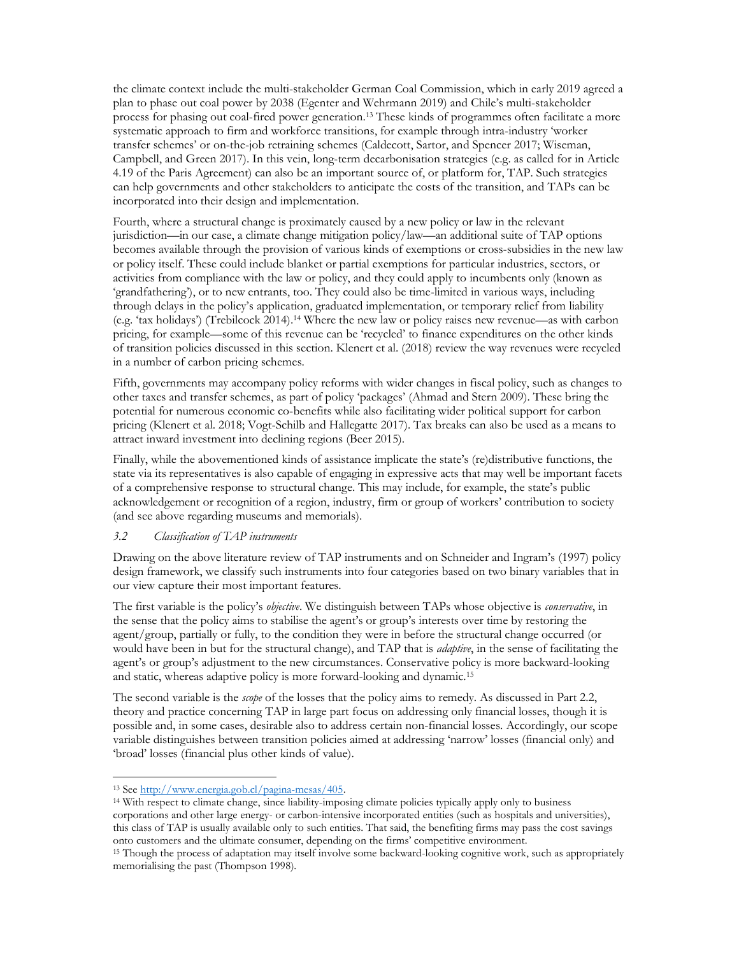the climate context include the multi-stakeholder German Coal Commission, which in early 2019 agreed a plan to phase out coal power by 2038 (Egenter and Wehrmann 2019) and Chile's multi-stakeholder process for phasing out coal-fired power generation.13 These kinds of programmes often facilitate a more systematic approach to firm and workforce transitions, for example through intra-industry 'worker transfer schemes' or on-the-job retraining schemes (Caldecott, Sartor, and Spencer 2017; Wiseman, Campbell, and Green 2017). In this vein, long-term decarbonisation strategies (e.g. as called for in Article 4.19 of the Paris Agreement) can also be an important source of, or platform for, TAP. Such strategies can help governments and other stakeholders to anticipate the costs of the transition, and TAPs can be incorporated into their design and implementation.

Fourth, where a structural change is proximately caused by a new policy or law in the relevant jurisdiction—in our case, a climate change mitigation policy/law—an additional suite of TAP options becomes available through the provision of various kinds of exemptions or cross-subsidies in the new law or policy itself. These could include blanket or partial exemptions for particular industries, sectors, or activities from compliance with the law or policy, and they could apply to incumbents only (known as 'grandfathering'), or to new entrants, too. They could also be time-limited in various ways, including through delays in the policy's application, graduated implementation, or temporary relief from liability (e.g. 'tax holidays') (Trebilcock 2014).14 Where the new law or policy raises new revenue—as with carbon pricing, for example—some of this revenue can be 'recycled' to finance expenditures on the other kinds of transition policies discussed in this section. Klenert et al. (2018) review the way revenues were recycled in a number of carbon pricing schemes.

Fifth, governments may accompany policy reforms with wider changes in fiscal policy, such as changes to other taxes and transfer schemes, as part of policy 'packages' (Ahmad and Stern 2009). These bring the potential for numerous economic co-benefits while also facilitating wider political support for carbon pricing (Klenert et al. 2018; Vogt-Schilb and Hallegatte 2017). Tax breaks can also be used as a means to attract inward investment into declining regions (Beer 2015).

Finally, while the abovementioned kinds of assistance implicate the state's (re)distributive functions, the state via its representatives is also capable of engaging in expressive acts that may well be important facets of a comprehensive response to structural change. This may include, for example, the state's public acknowledgement or recognition of a region, industry, firm or group of workers' contribution to society (and see above regarding museums and memorials).

# 3.2 Classification of TAP instruments

Drawing on the above literature review of TAP instruments and on Schneider and Ingram's (1997) policy design framework, we classify such instruments into four categories based on two binary variables that in our view capture their most important features.

The first variable is the policy's *objective*. We distinguish between TAPs whose objective is *conservative*, in the sense that the policy aims to stabilise the agent's or group's interests over time by restoring the agent/group, partially or fully, to the condition they were in before the structural change occurred (or would have been in but for the structural change), and TAP that is *adaptive*, in the sense of facilitating the agent's or group's adjustment to the new circumstances. Conservative policy is more backward-looking and static, whereas adaptive policy is more forward-looking and dynamic.<sup>15</sup>

The second variable is the *scope* of the losses that the policy aims to remedy. As discussed in Part 2.2, theory and practice concerning TAP in large part focus on addressing only financial losses, though it is possible and, in some cases, desirable also to address certain non-financial losses. Accordingly, our scope variable distinguishes between transition policies aimed at addressing 'narrow' losses (financial only) and 'broad' losses (financial plus other kinds of value).

<sup>13</sup> See http://www.energia.gob.cl/pagina-mesas/405.

<sup>14</sup> With respect to climate change, since liability-imposing climate policies typically apply only to business corporations and other large energy- or carbon-intensive incorporated entities (such as hospitals and universities), this class of TAP is usually available only to such entities. That said, the benefiting firms may pass the cost savings onto customers and the ultimate consumer, depending on the firms' competitive environment.

<sup>&</sup>lt;sup>15</sup> Though the process of adaptation may itself involve some backward-looking cognitive work, such as appropriately memorialising the past (Thompson 1998).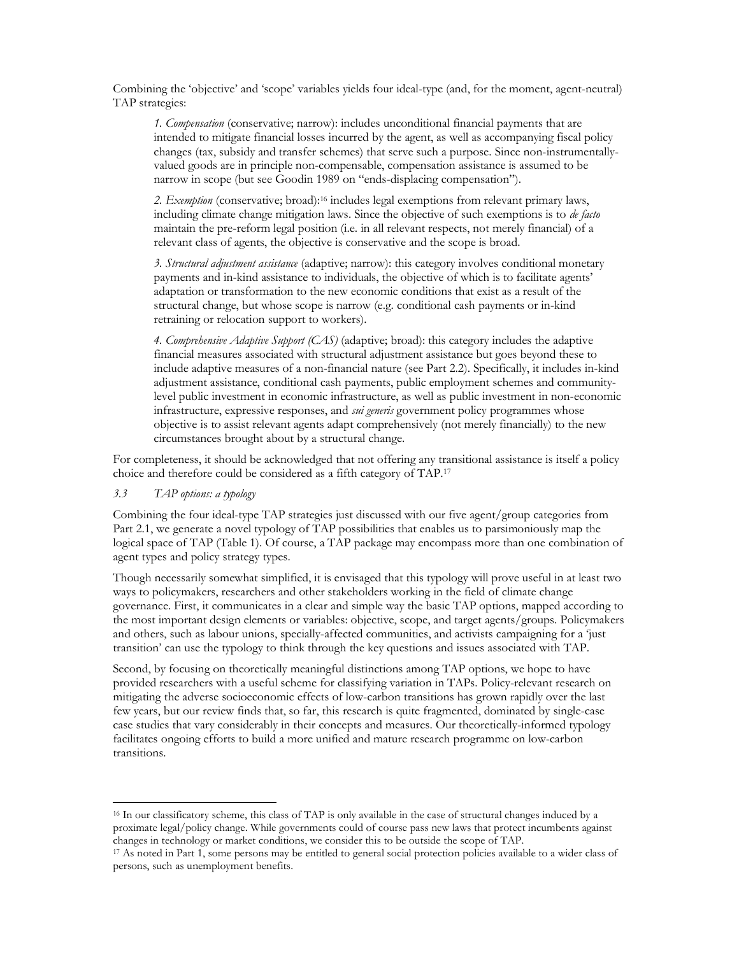Combining the 'objective' and 'scope' variables yields four ideal-type (and, for the moment, agent-neutral) TAP strategies:

1. Compensation (conservative; narrow): includes unconditional financial payments that are intended to mitigate financial losses incurred by the agent, as well as accompanying fiscal policy changes (tax, subsidy and transfer schemes) that serve such a purpose. Since non-instrumentallyvalued goods are in principle non-compensable, compensation assistance is assumed to be narrow in scope (but see Goodin 1989 on "ends-displacing compensation").

2. Exemption (conservative; broad):16 includes legal exemptions from relevant primary laws, including climate change mitigation laws. Since the objective of such exemptions is to  $de$  facto maintain the pre-reform legal position (i.e. in all relevant respects, not merely financial) of a relevant class of agents, the objective is conservative and the scope is broad.

3. Structural adjustment assistance (adaptive; narrow): this category involves conditional monetary payments and in-kind assistance to individuals, the objective of which is to facilitate agents' adaptation or transformation to the new economic conditions that exist as a result of the structural change, but whose scope is narrow (e.g. conditional cash payments or in-kind retraining or relocation support to workers).

4. Comprehensive Adaptive Support (CAS) (adaptive; broad): this category includes the adaptive financial measures associated with structural adjustment assistance but goes beyond these to include adaptive measures of a non-financial nature (see Part 2.2). Specifically, it includes in-kind adjustment assistance, conditional cash payments, public employment schemes and communitylevel public investment in economic infrastructure, as well as public investment in non-economic infrastructure, expressive responses, and sui generis government policy programmes whose objective is to assist relevant agents adapt comprehensively (not merely financially) to the new circumstances brought about by a structural change.

For completeness, it should be acknowledged that not offering any transitional assistance is itself a policy choice and therefore could be considered as a fifth category of TAP.<sup>17</sup>

3.3 TAP options: a typology

Combining the four ideal-type TAP strategies just discussed with our five agent/group categories from Part 2.1, we generate a novel typology of TAP possibilities that enables us to parsimoniously map the logical space of TAP (Table 1). Of course, a TAP package may encompass more than one combination of agent types and policy strategy types.

Though necessarily somewhat simplified, it is envisaged that this typology will prove useful in at least two ways to policymakers, researchers and other stakeholders working in the field of climate change governance. First, it communicates in a clear and simple way the basic TAP options, mapped according to the most important design elements or variables: objective, scope, and target agents/groups. Policymakers and others, such as labour unions, specially-affected communities, and activists campaigning for a 'just transition' can use the typology to think through the key questions and issues associated with TAP.

Second, by focusing on theoretically meaningful distinctions among TAP options, we hope to have provided researchers with a useful scheme for classifying variation in TAPs. Policy-relevant research on mitigating the adverse socioeconomic effects of low-carbon transitions has grown rapidly over the last few years, but our review finds that, so far, this research is quite fragmented, dominated by single-case case studies that vary considerably in their concepts and measures. Our theoretically-informed typology facilitates ongoing efforts to build a more unified and mature research programme on low-carbon transitions.

<sup>16</sup> In our classificatory scheme, this class of TAP is only available in the case of structural changes induced by a proximate legal/policy change. While governments could of course pass new laws that protect incumbents against changes in technology or market conditions, we consider this to be outside the scope of TAP.

<sup>17</sup> As noted in Part 1, some persons may be entitled to general social protection policies available to a wider class of persons, such as unemployment benefits.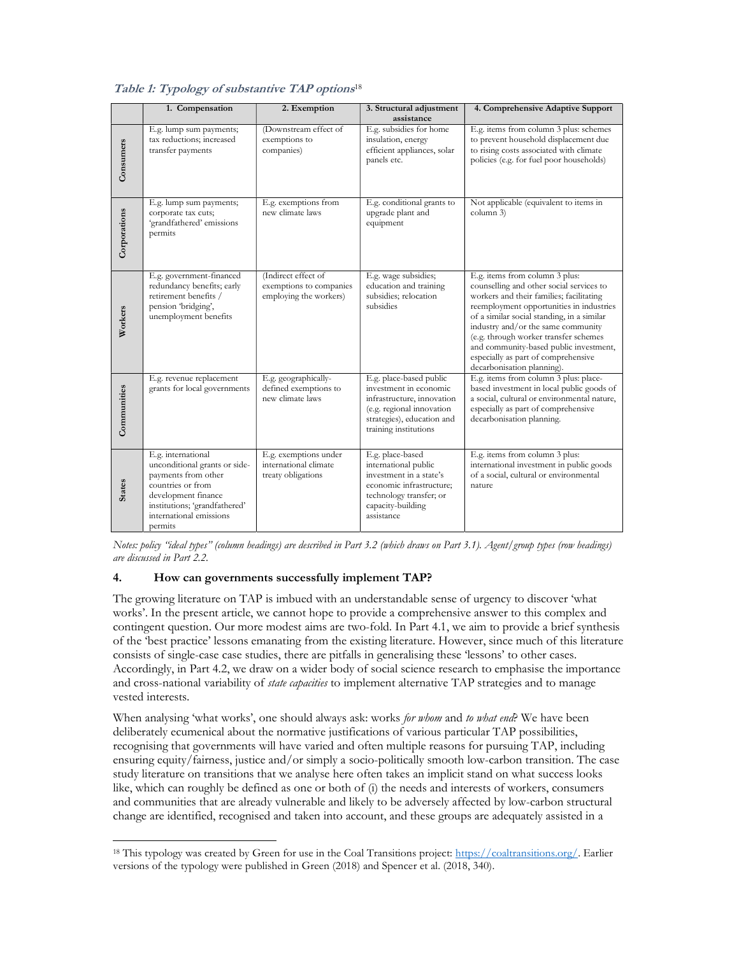|               | 1. Compensation                                                                                                                                                                               | 2. Exemption                                                             | 3. Structural adjustment                                                                                                                                            | 4. Comprehensive Adaptive Support                                                                                                                                                                                                                                                                                                                                                                              |
|---------------|-----------------------------------------------------------------------------------------------------------------------------------------------------------------------------------------------|--------------------------------------------------------------------------|---------------------------------------------------------------------------------------------------------------------------------------------------------------------|----------------------------------------------------------------------------------------------------------------------------------------------------------------------------------------------------------------------------------------------------------------------------------------------------------------------------------------------------------------------------------------------------------------|
|               |                                                                                                                                                                                               |                                                                          | assistance                                                                                                                                                          |                                                                                                                                                                                                                                                                                                                                                                                                                |
| Consumers     | E.g. lump sum payments;<br>tax reductions; increased<br>transfer payments                                                                                                                     | (Downstream effect of<br>exemptions to<br>companies)                     | E.g. subsidies for home<br>insulation, energy<br>efficient appliances, solar<br>panels etc.                                                                         | E.g. items from column 3 plus: schemes<br>to prevent household displacement due<br>to rising costs associated with climate<br>policies (e.g. for fuel poor households)                                                                                                                                                                                                                                         |
| Corporations  | E.g. lump sum payments;<br>corporate tax cuts;<br>'grandfathered' emissions<br>permits                                                                                                        | E.g. exemptions from<br>new climate laws                                 | E.g. conditional grants to<br>upgrade plant and<br>equipment                                                                                                        | Not applicable (equivalent to items in<br>column 3)                                                                                                                                                                                                                                                                                                                                                            |
| Workers       | E.g. government-financed<br>redundancy benefits; early<br>retirement benefits /<br>pension 'bridging',<br>unemployment benefits                                                               | (Indirect effect of<br>exemptions to companies<br>employing the workers) | E.g. wage subsidies;<br>education and training<br>subsidies; relocation<br>subsidies                                                                                | E.g. items from column 3 plus:<br>counselling and other social services to<br>workers and their families; facilitating<br>reemployment opportunities in industries<br>of a similar social standing, in a similar<br>industry and/or the same community<br>(e.g. through worker transfer schemes<br>and community-based public investment,<br>especially as part of comprehensive<br>decarbonisation planning). |
| Communities   | E.g. revenue replacement<br>grants for local governments                                                                                                                                      | E.g. geographically-<br>defined exemptions to<br>new climate laws        | E.g. place-based public<br>investment in economic<br>infrastructure, innovation<br>(e.g. regional innovation<br>strategies), education and<br>training institutions | E.g. items from column 3 plus: place-<br>based investment in local public goods of<br>a social, cultural or environmental nature,<br>especially as part of comprehensive<br>decarbonisation planning.                                                                                                                                                                                                          |
| <b>States</b> | E.g. international<br>unconditional grants or side-<br>payments from other<br>countries or from<br>development finance<br>institutions; 'grandfathered'<br>international emissions<br>permits | E.g. exemptions under<br>international climate<br>treaty obligations     | E.g. place-based<br>international public<br>investment in a state's<br>economic infrastructure;<br>technology transfer; or<br>capacity-building<br>assistance       | E.g. items from column 3 plus:<br>international investment in public goods<br>of a social, cultural or environmental<br>nature                                                                                                                                                                                                                                                                                 |

# Table 1: Typology of substantive TAP options 18

Notes: policy "ideal types" (column headings) are described in Part 3.2 (which draws on Part 3.1). Agent/group types (row headings) are discussed in Part 2.2.

# 4. How can governments successfully implement TAP?

The growing literature on TAP is imbued with an understandable sense of urgency to discover 'what works'. In the present article, we cannot hope to provide a comprehensive answer to this complex and contingent question. Our more modest aims are two-fold. In Part 4.1, we aim to provide a brief synthesis of the 'best practice' lessons emanating from the existing literature. However, since much of this literature consists of single-case case studies, there are pitfalls in generalising these 'lessons' to other cases. Accordingly, in Part 4.2, we draw on a wider body of social science research to emphasise the importance and cross-national variability of *state capacities* to implement alternative TAP strategies and to manage vested interests.

When analysing 'what works', one should always ask: works *for whom* and *to what end?* We have been deliberately ecumenical about the normative justifications of various particular TAP possibilities, recognising that governments will have varied and often multiple reasons for pursuing TAP, including ensuring equity/fairness, justice and/or simply a socio-politically smooth low-carbon transition. The case study literature on transitions that we analyse here often takes an implicit stand on what success looks like, which can roughly be defined as one or both of (i) the needs and interests of workers, consumers and communities that are already vulnerable and likely to be adversely affected by low-carbon structural change are identified, recognised and taken into account, and these groups are adequately assisted in a

<sup>18</sup> This typology was created by Green for use in the Coal Transitions project: https://coaltransitions.org/. Earlier versions of the typology were published in Green (2018) and Spencer et al. (2018, 340).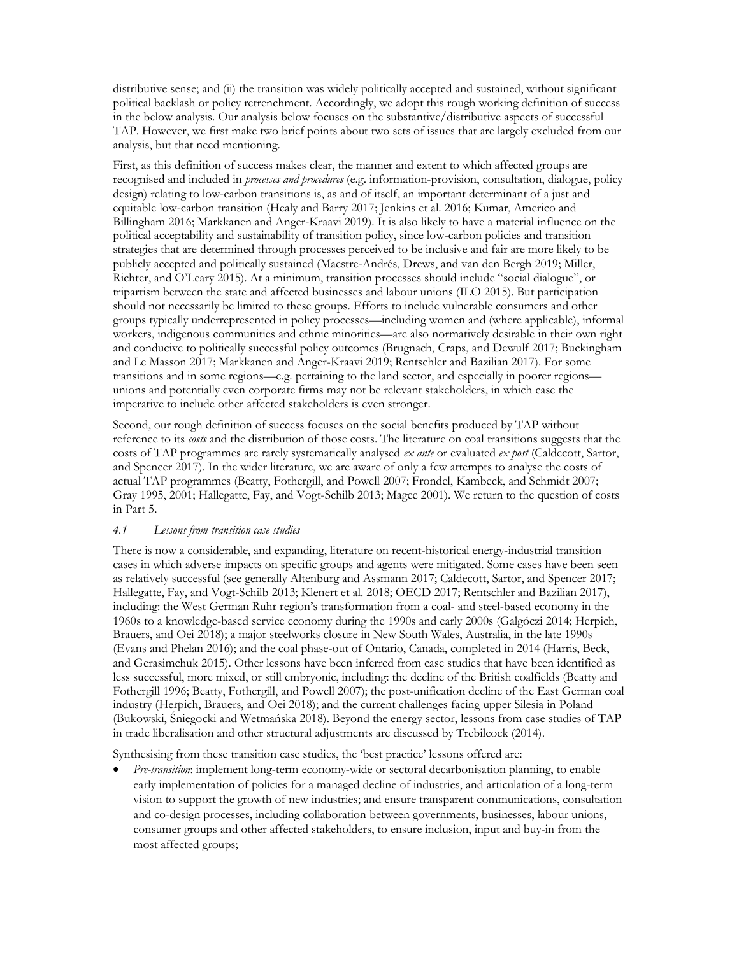distributive sense; and (ii) the transition was widely politically accepted and sustained, without significant political backlash or policy retrenchment. Accordingly, we adopt this rough working definition of success in the below analysis. Our analysis below focuses on the substantive/distributive aspects of successful TAP. However, we first make two brief points about two sets of issues that are largely excluded from our analysis, but that need mentioning.

First, as this definition of success makes clear, the manner and extent to which affected groups are recognised and included in *processes and procedures* (e.g. information-provision, consultation, dialogue, policy design) relating to low-carbon transitions is, as and of itself, an important determinant of a just and equitable low-carbon transition (Healy and Barry 2017; Jenkins et al. 2016; Kumar, Americo and Billingham 2016; Markkanen and Anger-Kraavi 2019). It is also likely to have a material influence on the political acceptability and sustainability of transition policy, since low-carbon policies and transition strategies that are determined through processes perceived to be inclusive and fair are more likely to be publicly accepted and politically sustained (Maestre-Andrés, Drews, and van den Bergh 2019; Miller, Richter, and O'Leary 2015). At a minimum, transition processes should include "social dialogue", or tripartism between the state and affected businesses and labour unions (ILO 2015). But participation should not necessarily be limited to these groups. Efforts to include vulnerable consumers and other groups typically underrepresented in policy processes—including women and (where applicable), informal workers, indigenous communities and ethnic minorities—are also normatively desirable in their own right and conducive to politically successful policy outcomes (Brugnach, Craps, and Dewulf 2017; Buckingham and Le Masson 2017; Markkanen and Anger-Kraavi 2019; Rentschler and Bazilian 2017). For some transitions and in some regions—e.g. pertaining to the land sector, and especially in poorer regions unions and potentially even corporate firms may not be relevant stakeholders, in which case the imperative to include other affected stakeholders is even stronger.

Second, our rough definition of success focuses on the social benefits produced by TAP without reference to its *asts* and the distribution of those costs. The literature on coal transitions suggests that the costs of TAP programmes are rarely systematically analysed ex ante or evaluated ex post (Caldecott, Sartor, and Spencer 2017). In the wider literature, we are aware of only a few attempts to analyse the costs of actual TAP programmes (Beatty, Fothergill, and Powell 2007; Frondel, Kambeck, and Schmidt 2007; Gray 1995, 2001; Hallegatte, Fay, and Vogt-Schilb 2013; Magee 2001). We return to the question of costs in Part 5.

## 4.1 Lessons from transition case studies

There is now a considerable, and expanding, literature on recent-historical energy-industrial transition cases in which adverse impacts on specific groups and agents were mitigated. Some cases have been seen as relatively successful (see generally Altenburg and Assmann 2017; Caldecott, Sartor, and Spencer 2017; Hallegatte, Fay, and Vogt-Schilb 2013; Klenert et al. 2018; OECD 2017; Rentschler and Bazilian 2017), including: the West German Ruhr region's transformation from a coal- and steel-based economy in the 1960s to a knowledge-based service economy during the 1990s and early 2000s (Galgóczi 2014; Herpich, Brauers, and Oei 2018); a major steelworks closure in New South Wales, Australia, in the late 1990s (Evans and Phelan 2016); and the coal phase-out of Ontario, Canada, completed in 2014 (Harris, Beck, and Gerasimchuk 2015). Other lessons have been inferred from case studies that have been identified as less successful, more mixed, or still embryonic, including: the decline of the British coalfields (Beatty and Fothergill 1996; Beatty, Fothergill, and Powell 2007); the post-unification decline of the East German coal industry (Herpich, Brauers, and Oei 2018); and the current challenges facing upper Silesia in Poland (Bukowski, Śniegocki and Wetmańska 2018). Beyond the energy sector, lessons from case studies of TAP in trade liberalisation and other structural adjustments are discussed by Trebilcock (2014).

Synthesising from these transition case studies, the 'best practice' lessons offered are:

• Pre-transition: implement long-term economy-wide or sectoral decarbonisation planning, to enable early implementation of policies for a managed decline of industries, and articulation of a long-term vision to support the growth of new industries; and ensure transparent communications, consultation and co-design processes, including collaboration between governments, businesses, labour unions, consumer groups and other affected stakeholders, to ensure inclusion, input and buy-in from the most affected groups;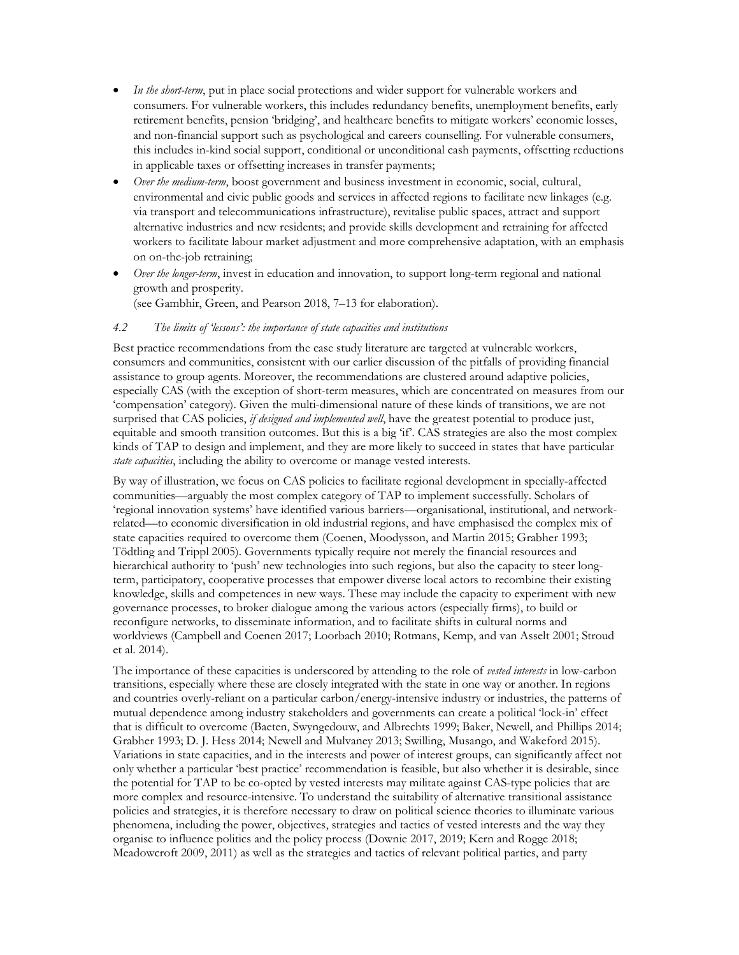- In the short-term, put in place social protections and wider support for vulnerable workers and consumers. For vulnerable workers, this includes redundancy benefits, unemployment benefits, early retirement benefits, pension 'bridging', and healthcare benefits to mitigate workers' economic losses, and non-financial support such as psychological and careers counselling. For vulnerable consumers, this includes in-kind social support, conditional or unconditional cash payments, offsetting reductions in applicable taxes or offsetting increases in transfer payments;
- Over the medium-term, boost government and business investment in economic, social, cultural, environmental and civic public goods and services in affected regions to facilitate new linkages (e.g. via transport and telecommunications infrastructure), revitalise public spaces, attract and support alternative industries and new residents; and provide skills development and retraining for affected workers to facilitate labour market adjustment and more comprehensive adaptation, with an emphasis on on-the-job retraining;
- Over the longer-term, invest in education and innovation, to support long-term regional and national growth and prosperity. (see Gambhir, Green, and Pearson 2018, 7–13 for elaboration).

# 4.2 The limits of 'lessons': the importance of state capacities and institutions

Best practice recommendations from the case study literature are targeted at vulnerable workers, consumers and communities, consistent with our earlier discussion of the pitfalls of providing financial assistance to group agents. Moreover, the recommendations are clustered around adaptive policies, especially CAS (with the exception of short-term measures, which are concentrated on measures from our 'compensation' category). Given the multi-dimensional nature of these kinds of transitions, we are not surprised that CAS policies, *if designed and implemented well*, have the greatest potential to produce just, equitable and smooth transition outcomes. But this is a big 'if'. CAS strategies are also the most complex kinds of TAP to design and implement, and they are more likely to succeed in states that have particular state capacities, including the ability to overcome or manage vested interests.

By way of illustration, we focus on CAS policies to facilitate regional development in specially-affected communities—arguably the most complex category of TAP to implement successfully. Scholars of 'regional innovation systems' have identified various barriers—organisational, institutional, and networkrelated—to economic diversification in old industrial regions, and have emphasised the complex mix of state capacities required to overcome them (Coenen, Moodysson, and Martin 2015; Grabher 1993; Tödtling and Trippl 2005). Governments typically require not merely the financial resources and hierarchical authority to 'push' new technologies into such regions, but also the capacity to steer longterm, participatory, cooperative processes that empower diverse local actors to recombine their existing knowledge, skills and competences in new ways. These may include the capacity to experiment with new governance processes, to broker dialogue among the various actors (especially firms), to build or reconfigure networks, to disseminate information, and to facilitate shifts in cultural norms and worldviews (Campbell and Coenen 2017; Loorbach 2010; Rotmans, Kemp, and van Asselt 2001; Stroud et al. 2014).

The importance of these capacities is underscored by attending to the role of vested interests in low-carbon transitions, especially where these are closely integrated with the state in one way or another. In regions and countries overly-reliant on a particular carbon/energy-intensive industry or industries, the patterns of mutual dependence among industry stakeholders and governments can create a political 'lock-in' effect that is difficult to overcome (Baeten, Swyngedouw, and Albrechts 1999; Baker, Newell, and Phillips 2014; Grabher 1993; D. J. Hess 2014; Newell and Mulvaney 2013; Swilling, Musango, and Wakeford 2015). Variations in state capacities, and in the interests and power of interest groups, can significantly affect not only whether a particular 'best practice' recommendation is feasible, but also whether it is desirable, since the potential for TAP to be co-opted by vested interests may militate against CAS-type policies that are more complex and resource-intensive. To understand the suitability of alternative transitional assistance policies and strategies, it is therefore necessary to draw on political science theories to illuminate various phenomena, including the power, objectives, strategies and tactics of vested interests and the way they organise to influence politics and the policy process (Downie 2017, 2019; Kern and Rogge 2018; Meadowcroft 2009, 2011) as well as the strategies and tactics of relevant political parties, and party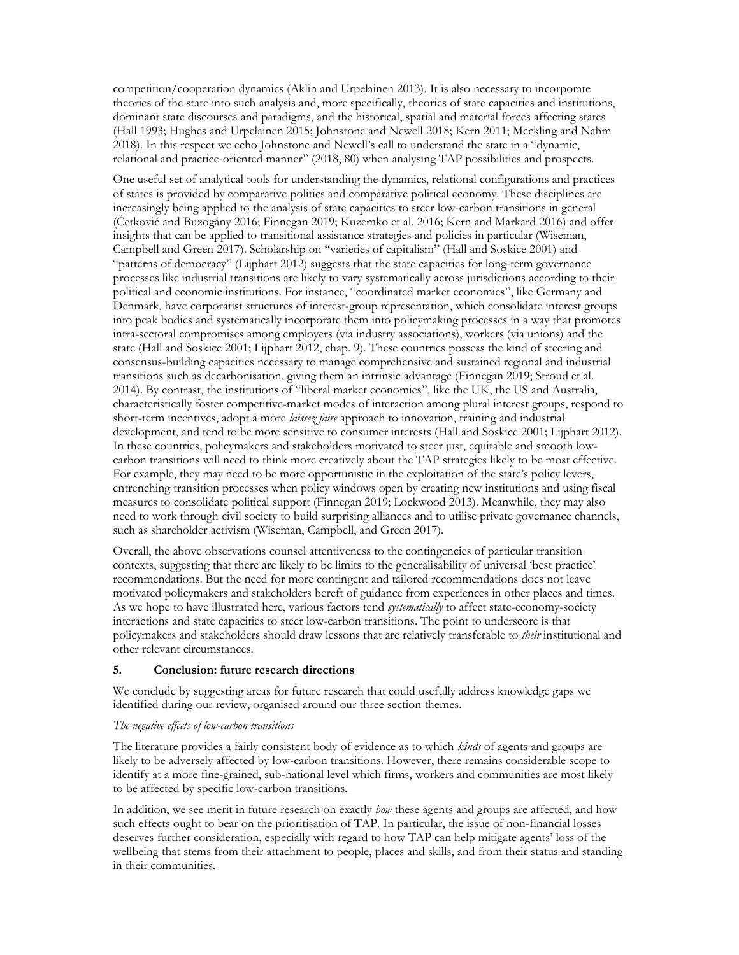competition/cooperation dynamics (Aklin and Urpelainen 2013). It is also necessary to incorporate theories of the state into such analysis and, more specifically, theories of state capacities and institutions, dominant state discourses and paradigms, and the historical, spatial and material forces affecting states (Hall 1993; Hughes and Urpelainen 2015; Johnstone and Newell 2018; Kern 2011; Meckling and Nahm 2018). In this respect we echo Johnstone and Newell's call to understand the state in a "dynamic, relational and practice-oriented manner" (2018, 80) when analysing TAP possibilities and prospects.

One useful set of analytical tools for understanding the dynamics, relational configurations and practices of states is provided by comparative politics and comparative political economy. These disciplines are increasingly being applied to the analysis of state capacities to steer low-carbon transitions in general (Ćetković and Buzogány 2016; Finnegan 2019; Kuzemko et al. 2016; Kern and Markard 2016) and offer insights that can be applied to transitional assistance strategies and policies in particular (Wiseman, Campbell and Green 2017). Scholarship on "varieties of capitalism" (Hall and Soskice 2001) and "patterns of democracy" (Lijphart 2012) suggests that the state capacities for long-term governance processes like industrial transitions are likely to vary systematically across jurisdictions according to their political and economic institutions. For instance, "coordinated market economies", like Germany and Denmark, have corporatist structures of interest-group representation, which consolidate interest groups into peak bodies and systematically incorporate them into policymaking processes in a way that promotes intra-sectoral compromises among employers (via industry associations), workers (via unions) and the state (Hall and Soskice 2001; Lijphart 2012, chap. 9). These countries possess the kind of steering and consensus-building capacities necessary to manage comprehensive and sustained regional and industrial transitions such as decarbonisation, giving them an intrinsic advantage (Finnegan 2019; Stroud et al. 2014). By contrast, the institutions of "liberal market economies", like the UK, the US and Australia, characteristically foster competitive-market modes of interaction among plural interest groups, respond to short-term incentives, adopt a more laissez faire approach to innovation, training and industrial development, and tend to be more sensitive to consumer interests (Hall and Soskice 2001; Lijphart 2012). In these countries, policymakers and stakeholders motivated to steer just, equitable and smooth lowcarbon transitions will need to think more creatively about the TAP strategies likely to be most effective. For example, they may need to be more opportunistic in the exploitation of the state's policy levers, entrenching transition processes when policy windows open by creating new institutions and using fiscal measures to consolidate political support (Finnegan 2019; Lockwood 2013). Meanwhile, they may also need to work through civil society to build surprising alliances and to utilise private governance channels, such as shareholder activism (Wiseman, Campbell, and Green 2017).

Overall, the above observations counsel attentiveness to the contingencies of particular transition contexts, suggesting that there are likely to be limits to the generalisability of universal 'best practice' recommendations. But the need for more contingent and tailored recommendations does not leave motivated policymakers and stakeholders bereft of guidance from experiences in other places and times. As we hope to have illustrated here, various factors tend *systematically* to affect state-economy-society interactions and state capacities to steer low-carbon transitions. The point to underscore is that policymakers and stakeholders should draw lessons that are relatively transferable to their institutional and other relevant circumstances.

# 5. Conclusion: future research directions

We conclude by suggesting areas for future research that could usefully address knowledge gaps we identified during our review, organised around our three section themes.

#### The negative effects of low-carbon transitions

The literature provides a fairly consistent body of evidence as to which kinds of agents and groups are likely to be adversely affected by low-carbon transitions. However, there remains considerable scope to identify at a more fine-grained, sub-national level which firms, workers and communities are most likely to be affected by specific low-carbon transitions.

In addition, we see merit in future research on exactly *how* these agents and groups are affected, and how such effects ought to bear on the prioritisation of TAP. In particular, the issue of non-financial losses deserves further consideration, especially with regard to how TAP can help mitigate agents' loss of the wellbeing that stems from their attachment to people, places and skills, and from their status and standing in their communities.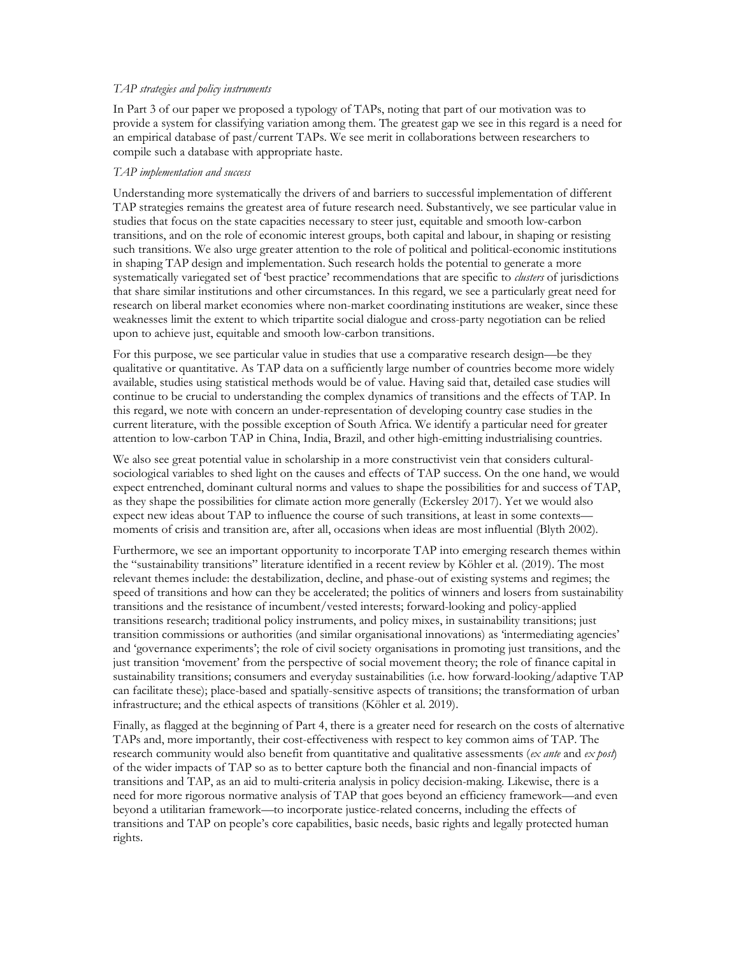#### TAP strategies and policy instruments

In Part 3 of our paper we proposed a typology of TAPs, noting that part of our motivation was to provide a system for classifying variation among them. The greatest gap we see in this regard is a need for an empirical database of past/current TAPs. We see merit in collaborations between researchers to compile such a database with appropriate haste.

## TAP implementation and success

Understanding more systematically the drivers of and barriers to successful implementation of different TAP strategies remains the greatest area of future research need. Substantively, we see particular value in studies that focus on the state capacities necessary to steer just, equitable and smooth low-carbon transitions, and on the role of economic interest groups, both capital and labour, in shaping or resisting such transitions. We also urge greater attention to the role of political and political-economic institutions in shaping TAP design and implementation. Such research holds the potential to generate a more systematically variegated set of 'best practice' recommendations that are specific to *clusters* of jurisdictions that share similar institutions and other circumstances. In this regard, we see a particularly great need for research on liberal market economies where non-market coordinating institutions are weaker, since these weaknesses limit the extent to which tripartite social dialogue and cross-party negotiation can be relied upon to achieve just, equitable and smooth low-carbon transitions.

For this purpose, we see particular value in studies that use a comparative research design—be they qualitative or quantitative. As TAP data on a sufficiently large number of countries become more widely available, studies using statistical methods would be of value. Having said that, detailed case studies will continue to be crucial to understanding the complex dynamics of transitions and the effects of TAP. In this regard, we note with concern an under-representation of developing country case studies in the current literature, with the possible exception of South Africa. We identify a particular need for greater attention to low-carbon TAP in China, India, Brazil, and other high-emitting industrialising countries.

We also see great potential value in scholarship in a more constructivist vein that considers culturalsociological variables to shed light on the causes and effects of TAP success. On the one hand, we would expect entrenched, dominant cultural norms and values to shape the possibilities for and success of TAP, as they shape the possibilities for climate action more generally (Eckersley 2017). Yet we would also expect new ideas about TAP to influence the course of such transitions, at least in some contexts moments of crisis and transition are, after all, occasions when ideas are most influential (Blyth 2002).

Furthermore, we see an important opportunity to incorporate TAP into emerging research themes within the "sustainability transitions" literature identified in a recent review by Köhler et al. (2019). The most relevant themes include: the destabilization, decline, and phase-out of existing systems and regimes; the speed of transitions and how can they be accelerated; the politics of winners and losers from sustainability transitions and the resistance of incumbent/vested interests; forward-looking and policy-applied transitions research; traditional policy instruments, and policy mixes, in sustainability transitions; just transition commissions or authorities (and similar organisational innovations) as 'intermediating agencies' and 'governance experiments'; the role of civil society organisations in promoting just transitions, and the just transition 'movement' from the perspective of social movement theory; the role of finance capital in sustainability transitions; consumers and everyday sustainabilities (i.e. how forward-looking/adaptive TAP can facilitate these); place-based and spatially-sensitive aspects of transitions; the transformation of urban infrastructure; and the ethical aspects of transitions (Köhler et al. 2019).

Finally, as flagged at the beginning of Part 4, there is a greater need for research on the costs of alternative TAPs and, more importantly, their cost-effectiveness with respect to key common aims of TAP. The research community would also benefit from quantitative and qualitative assessments (ex ante and ex post) of the wider impacts of TAP so as to better capture both the financial and non-financial impacts of transitions and TAP, as an aid to multi-criteria analysis in policy decision-making. Likewise, there is a need for more rigorous normative analysis of TAP that goes beyond an efficiency framework—and even beyond a utilitarian framework—to incorporate justice-related concerns, including the effects of transitions and TAP on people's core capabilities, basic needs, basic rights and legally protected human rights.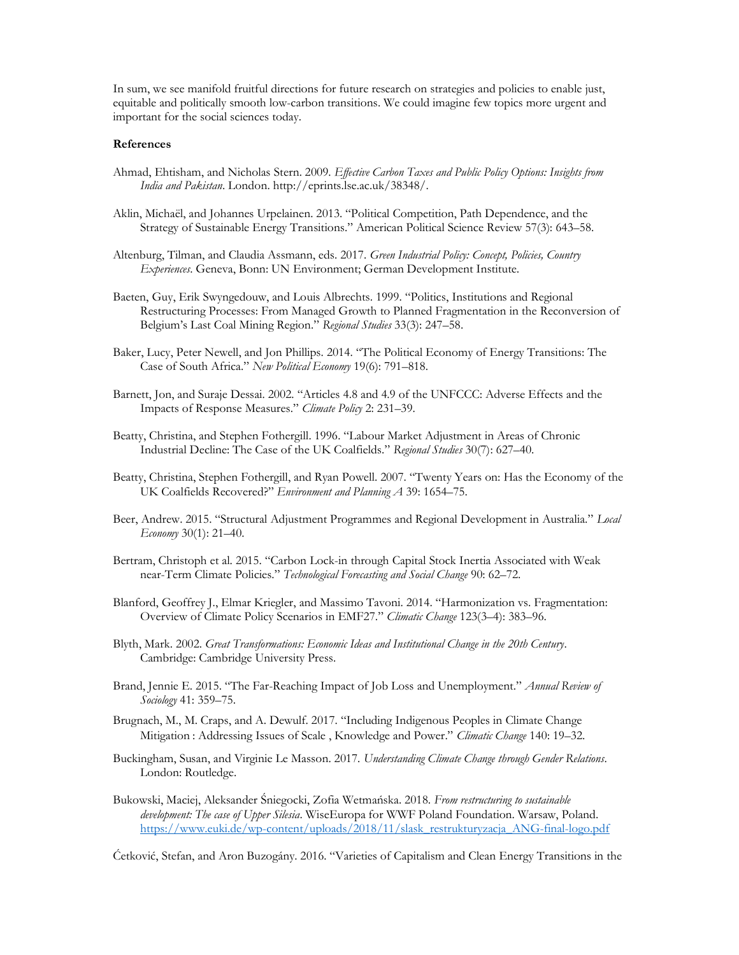In sum, we see manifold fruitful directions for future research on strategies and policies to enable just, equitable and politically smooth low-carbon transitions. We could imagine few topics more urgent and important for the social sciences today.

#### References

- Ahmad, Ehtisham, and Nicholas Stern. 2009. Effective Carbon Taxes and Public Policy Options: Insights from India and Pakistan. London. http://eprints.lse.ac.uk/38348/.
- Aklin, Michaël, and Johannes Urpelainen. 2013. "Political Competition, Path Dependence, and the Strategy of Sustainable Energy Transitions." American Political Science Review 57(3): 643–58.
- Altenburg, Tilman, and Claudia Assmann, eds. 2017. Green Industrial Policy: Concept, Policies, Country Experiences. Geneva, Bonn: UN Environment; German Development Institute.
- Baeten, Guy, Erik Swyngedouw, and Louis Albrechts. 1999. "Politics, Institutions and Regional Restructuring Processes: From Managed Growth to Planned Fragmentation in the Reconversion of Belgium's Last Coal Mining Region." Regional Studies 33(3): 247–58.
- Baker, Lucy, Peter Newell, and Jon Phillips. 2014. "The Political Economy of Energy Transitions: The Case of South Africa." New Political Economy 19(6): 791–818.
- Barnett, Jon, and Suraje Dessai. 2002. "Articles 4.8 and 4.9 of the UNFCCC: Adverse Effects and the Impacts of Response Measures." Climate Policy 2: 231–39.
- Beatty, Christina, and Stephen Fothergill. 1996. "Labour Market Adjustment in Areas of Chronic Industrial Decline: The Case of the UK Coalfields." Regional Studies 30(7): 627–40.
- Beatty, Christina, Stephen Fothergill, and Ryan Powell. 2007. "Twenty Years on: Has the Economy of the UK Coalfields Recovered?" Environment and Planning A 39: 1654–75.
- Beer, Andrew. 2015. "Structural Adjustment Programmes and Regional Development in Australia." Local Economy 30(1): 21–40.
- Bertram, Christoph et al. 2015. "Carbon Lock-in through Capital Stock Inertia Associated with Weak near-Term Climate Policies." Technological Forecasting and Social Change 90: 62–72.
- Blanford, Geoffrey J., Elmar Kriegler, and Massimo Tavoni. 2014. "Harmonization vs. Fragmentation: Overview of Climate Policy Scenarios in EMF27." Climatic Change 123(3–4): 383–96.
- Blyth, Mark. 2002. Great Transformations: Economic Ideas and Institutional Change in the 20th Century. Cambridge: Cambridge University Press.
- Brand, Jennie E. 2015. "The Far-Reaching Impact of Job Loss and Unemployment." Annual Review of Sociology 41: 359–75.
- Brugnach, M., M. Craps, and A. Dewulf. 2017. "Including Indigenous Peoples in Climate Change Mitigation : Addressing Issues of Scale, Knowledge and Power." Climatic Change 140: 19-32.
- Buckingham, Susan, and Virginie Le Masson. 2017. Understanding Climate Change through Gender Relations. London: Routledge.
- Bukowski, Maciej, Aleksander Śniegocki, Zofia Wetmańska. 2018. From restructuring to sustainable development: The case of Upper Silesia. WiseEuropa for WWF Poland Foundation. Warsaw, Poland. https://www.euki.de/wp-content/uploads/2018/11/slask\_restrukturyzacja\_ANG-final-logo.pdf

Ćetković, Stefan, and Aron Buzogány. 2016. "Varieties of Capitalism and Clean Energy Transitions in the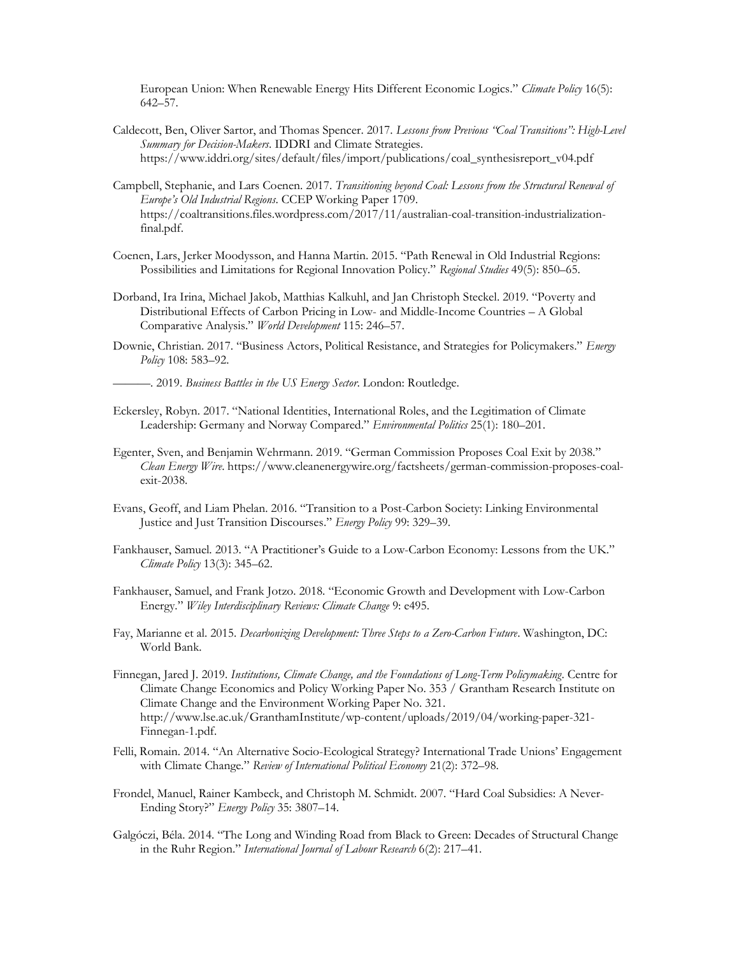European Union: When Renewable Energy Hits Different Economic Logics." Climate Policy 16(5): 642–57.

- Caldecott, Ben, Oliver Sartor, and Thomas Spencer. 2017. Lessons from Previous "Coal Transitions": High-Level Summary for Decision-Makers. IDDRI and Climate Strategies. https://www.iddri.org/sites/default/files/import/publications/coal\_synthesisreport\_v04.pdf
- Campbell, Stephanie, and Lars Coenen. 2017. Transitioning beyond Coal: Lessons from the Structural Renewal of Europe's Old Industrial Regions. CCEP Working Paper 1709. https://coaltransitions.files.wordpress.com/2017/11/australian-coal-transition-industrializationfinal.pdf.
- Coenen, Lars, Jerker Moodysson, and Hanna Martin. 2015. "Path Renewal in Old Industrial Regions: Possibilities and Limitations for Regional Innovation Policy." Regional Studies 49(5): 850–65.
- Dorband, Ira Irina, Michael Jakob, Matthias Kalkuhl, and Jan Christoph Steckel. 2019. "Poverty and Distributional Effects of Carbon Pricing in Low- and Middle-Income Countries – A Global Comparative Analysis." World Development 115: 246–57.
- Downie, Christian. 2017. "Business Actors, Political Resistance, and Strategies for Policymakers." Energy Policy 108: 583-92.

- 2019. Business Battles in the US Energy Sector. London: Routledge.

- Eckersley, Robyn. 2017. "National Identities, International Roles, and the Legitimation of Climate Leadership: Germany and Norway Compared." Environmental Politics 25(1): 180–201.
- Egenter, Sven, and Benjamin Wehrmann. 2019. "German Commission Proposes Coal Exit by 2038." Clean Energy Wire. https://www.cleanenergywire.org/factsheets/german-commission-proposes-coalexit-2038.
- Evans, Geoff, and Liam Phelan. 2016. "Transition to a Post-Carbon Society: Linking Environmental Justice and Just Transition Discourses." Energy Policy 99: 329–39.
- Fankhauser, Samuel. 2013. "A Practitioner's Guide to a Low-Carbon Economy: Lessons from the UK." Climate Policy 13(3): 345–62.
- Fankhauser, Samuel, and Frank Jotzo. 2018. "Economic Growth and Development with Low-Carbon Energy." Wiley Interdisciplinary Reviews: Climate Change 9: e495.
- Fay, Marianne et al. 2015. Decarbonizing Development: Three Steps to a Zero-Carbon Future. Washington, DC: World Bank.
- Finnegan, Jared J. 2019. Institutions, Climate Change, and the Foundations of Long-Term Policymaking. Centre for Climate Change Economics and Policy Working Paper No. 353 / Grantham Research Institute on Climate Change and the Environment Working Paper No. 321. http://www.lse.ac.uk/GranthamInstitute/wp-content/uploads/2019/04/working-paper-321- Finnegan-1.pdf.
- Felli, Romain. 2014. "An Alternative Socio-Ecological Strategy? International Trade Unions' Engagement with Climate Change." Review of International Political Economy 21(2): 372–98.
- Frondel, Manuel, Rainer Kambeck, and Christoph M. Schmidt. 2007. "Hard Coal Subsidies: A Never-Ending Story?" Energy Policy 35: 3807-14.
- Galgóczi, Béla. 2014. "The Long and Winding Road from Black to Green: Decades of Structural Change in the Ruhr Region." International Journal of Labour Research 6(2): 217–41.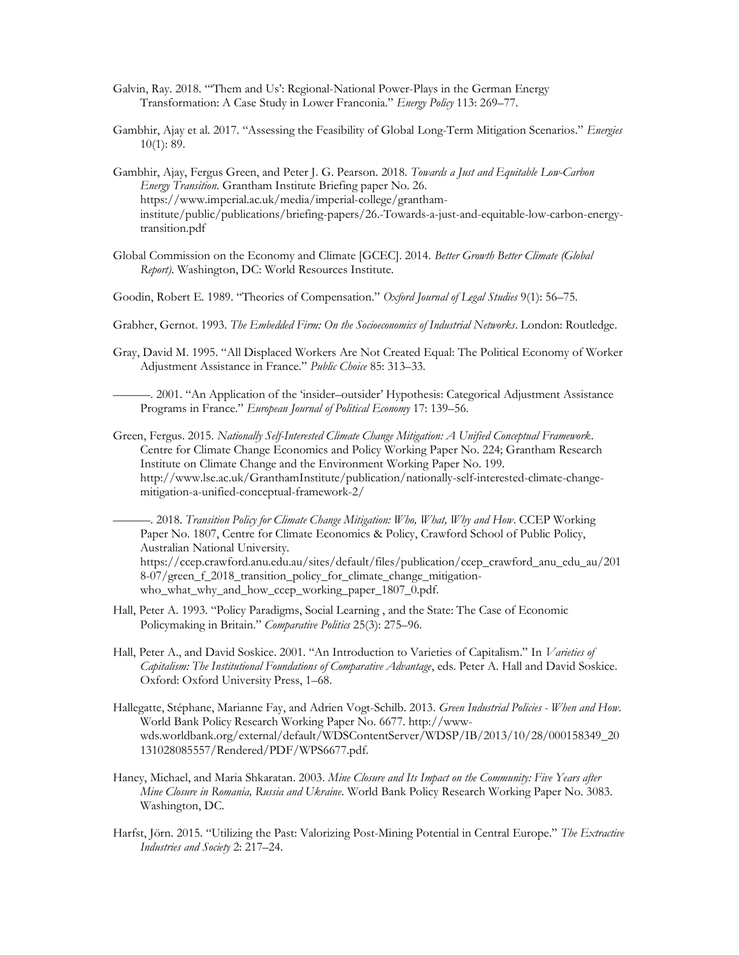- Galvin, Ray. 2018. "'Them and Us': Regional-National Power-Plays in the German Energy Transformation: A Case Study in Lower Franconia." Energy Policy 113: 269–77.
- Gambhir, Ajay et al. 2017. "Assessing the Feasibility of Global Long-Term Mitigation Scenarios." Energies 10(1): 89.
- Gambhir, Ajay, Fergus Green, and Peter J. G. Pearson. 2018. Towards a Just and Equitable Low-Carbon Energy Transition. Grantham Institute Briefing paper No. 26. https://www.imperial.ac.uk/media/imperial-college/granthaminstitute/public/publications/briefing-papers/26.-Towards-a-just-and-equitable-low-carbon-energytransition.pdf
- Global Commission on the Economy and Climate [GCEC]. 2014. Better Growth Better Climate (Global Report). Washington, DC: World Resources Institute.

Goodin, Robert E. 1989. "Theories of Compensation." Oxford Journal of Legal Studies 9(1): 56–75.

- Grabher, Gernot. 1993. The Embedded Firm: On the Socioeconomics of Industrial Networks. London: Routledge.
- Gray, David M. 1995. "All Displaced Workers Are Not Created Equal: The Political Economy of Worker Adjustment Assistance in France." Public Choice 85: 313-33.

———. 2001. "An Application of the 'insider–outsider' Hypothesis: Categorical Adjustment Assistance Programs in France." European Journal of Political Economy 17: 139-56.

Green, Fergus. 2015. Nationally Self-Interested Climate Change Mitigation: A Unified Conceptual Framework. Centre for Climate Change Economics and Policy Working Paper No. 224; Grantham Research Institute on Climate Change and the Environment Working Paper No. 199. http://www.lse.ac.uk/GranthamInstitute/publication/nationally-self-interested-climate-changemitigation-a-unified-conceptual-framework-2/

———. 2018. Transition Policy for Climate Change Mitigation: Who, What, Why and How. CCEP Working Paper No. 1807, Centre for Climate Economics & Policy, Crawford School of Public Policy, Australian National University. https://ccep.crawford.anu.edu.au/sites/default/files/publication/ccep\_crawford\_anu\_edu\_au/201 8-07/green\_f\_2018\_transition\_policy\_for\_climate\_change\_mitigationwho\_what\_why\_and\_how\_ccep\_working\_paper\_1807\_0.pdf.

- Hall, Peter A. 1993. "Policy Paradigms, Social Learning , and the State: The Case of Economic Policymaking in Britain." Comparative Politics 25(3): 275–96.
- Hall, Peter A., and David Soskice. 2001. "An Introduction to Varieties of Capitalism." In Varieties of Capitalism: The Institutional Foundations of Comparative Advantage, eds. Peter A. Hall and David Soskice. Oxford: Oxford University Press, 1–68.
- Hallegatte, Stéphane, Marianne Fay, and Adrien Vogt-Schilb. 2013. Green Industrial Policies When and How. World Bank Policy Research Working Paper No. 6677. http://wwwwds.worldbank.org/external/default/WDSContentServer/WDSP/IB/2013/10/28/000158349\_20 131028085557/Rendered/PDF/WPS6677.pdf.
- Haney, Michael, and Maria Shkaratan. 2003. Mine Closure and Its Impact on the Community: Five Years after Mine Closure in Romania, Russia and Ukraine. World Bank Policy Research Working Paper No. 3083. Washington, DC.
- Harfst, Jörn. 2015. "Utilizing the Past: Valorizing Post-Mining Potential in Central Europe." The Extractive Industries and Society 2: 217–24.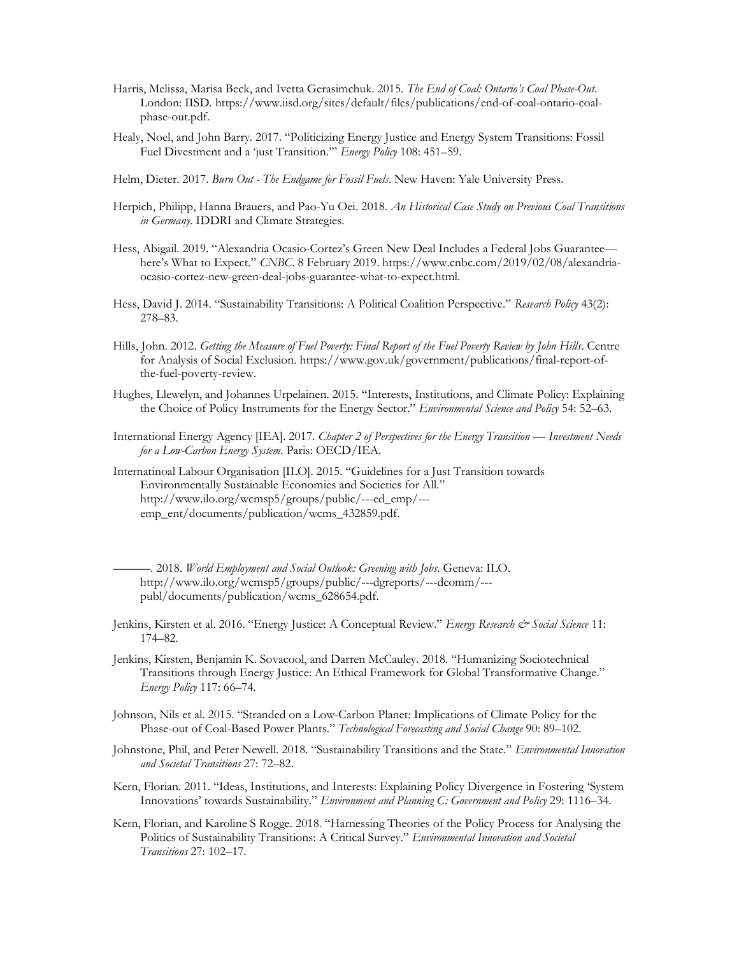- Harris, Melissa, Marisa Beck, and Ivetta Gerasimchuk. 2015. The End of Coal: Ontario's Coal Phase-Out. London: IISD. https://www.iisd.org/sites/default/files/publications/end-of-coal-ontario-coalphase-out.pdf.
- Healy, Noel, and John Barry. 2017. "Politicizing Energy Justice and Energy System Transitions: Fossil Fuel Divestment and a 'just Transition." Energy Policy 108: 451-59.
- Helm, Dieter. 2017. Burn Out The Endgame for Fossil Fuels. New Haven: Yale University Press.
- Herpich, Philipp, Hanna Brauers, and Pao-Yu Oei. 2018. An Historical Case Study on Previous Coal Transitions in Germany. IDDRI and Climate Strategies.
- Hess, Abigail. 2019. "Alexandria Ocasio-Cortez's Green New Deal Includes a Federal Jobs Guarantee here's What to Expect." CNBC. 8 February 2019. https://www.cnbc.com/2019/02/08/alexandriaocasio-cortez-new-green-deal-jobs-guarantee-what-to-expect.html.
- Hess, David J. 2014. "Sustainability Transitions: A Political Coalition Perspective." Research Policy 43(2): 278–83.
- Hills, John. 2012. Getting the Measure of Fuel Poverty: Final Report of the Fuel Poverty Review by John Hills. Centre for Analysis of Social Exclusion. https://www.gov.uk/government/publications/final-report-ofthe-fuel-poverty-review.
- Hughes, Llewelyn, and Johannes Urpelainen. 2015. "Interests, Institutions, and Climate Policy: Explaining the Choice of Policy Instruments for the Energy Sector." Environmental Science and Policy 54: 52–63.
- International Energy Agency [IEA]. 2017. Chapter 2 of Perspectives for the Energy Transition Investment Needs for a Low-Carbon Energy System. Paris: OECD/IEA.
- Internatinoal Labour Organisation [ILO]. 2015. "Guidelines for a Just Transition towards Environmentally Sustainable Economies and Societies for All." http://www.ilo.org/wcmsp5/groups/public/---ed\_emp/-- emp\_ent/documents/publication/wcms\_432859.pdf.

. 2018. World Employment and Social Outlook: Greening with Jobs. Geneva: ILO. http://www.ilo.org/wcmsp5/groups/public/---dgreports/---dcomm/-- publ/documents/publication/wcms\_628654.pdf.

- Jenkins, Kirsten et al. 2016. "Energy Justice: A Conceptual Review." Energy Research & Social Science 11: 174–82.
- Jenkins, Kirsten, Benjamin K. Sovacool, and Darren McCauley. 2018. "Humanizing Sociotechnical Transitions through Energy Justice: An Ethical Framework for Global Transformative Change." Energy Policy 117: 66–74.
- Johnson, Nils et al. 2015. "Stranded on a Low-Carbon Planet: Implications of Climate Policy for the Phase-out of Coal-Based Power Plants." Technological Forecasting and Social Change 90: 89-102.
- Johnstone, Phil, and Peter Newell. 2018. "Sustainability Transitions and the State." Environmental Innovation and Societal Transitions 27: 72–82.
- Kern, Florian. 2011. "Ideas, Institutions, and Interests: Explaining Policy Divergence in Fostering 'System Innovations' towards Sustainability." Environment and Planning C: Government and Policy 29: 1116–34.
- Kern, Florian, and Karoline S Rogge. 2018. "Harnessing Theories of the Policy Process for Analysing the Politics of Sustainability Transitions: A Critical Survey." Environmental Innovation and Societal Transitions 27: 102–17.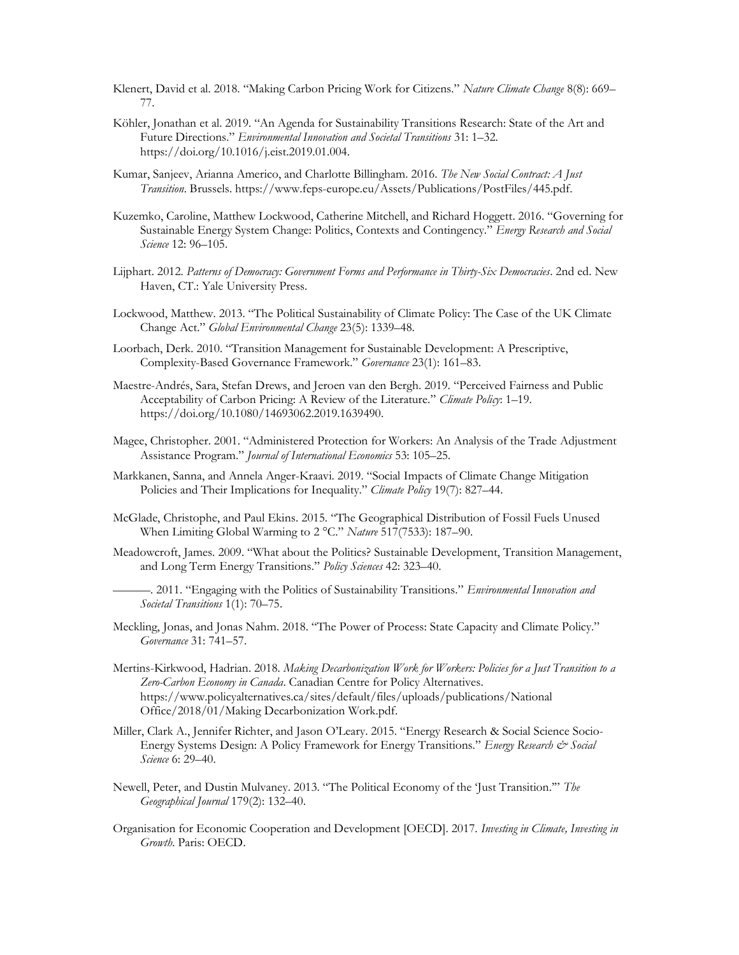- Klenert, David et al. 2018. "Making Carbon Pricing Work for Citizens." Nature Climate Change 8(8): 669– 77.
- Köhler, Jonathan et al. 2019. "An Agenda for Sustainability Transitions Research: State of the Art and Future Directions." Environmental Innovation and Societal Transitions 31: 1–32. https://doi.org/10.1016/j.eist.2019.01.004.
- Kumar, Sanjeev, Arianna Americo, and Charlotte Billingham. 2016. The New Social Contract: A Just Transition. Brussels. https://www.feps-europe.eu/Assets/Publications/PostFiles/445.pdf.
- Kuzemko, Caroline, Matthew Lockwood, Catherine Mitchell, and Richard Hoggett. 2016. "Governing for Sustainable Energy System Change: Politics, Contexts and Contingency." Energy Research and Social Science 12: 96-105.
- Lijphart. 2012. Patterns of Democracy: Government Forms and Performance in Thirty-Six Democracies. 2nd ed. New Haven, CT.: Yale University Press.
- Lockwood, Matthew. 2013. "The Political Sustainability of Climate Policy: The Case of the UK Climate Change Act." Global Environmental Change 23(5): 1339–48.
- Loorbach, Derk. 2010. "Transition Management for Sustainable Development: A Prescriptive, Complexity-Based Governance Framework." Governance 23(1): 161–83.
- Maestre-Andrés, Sara, Stefan Drews, and Jeroen van den Bergh. 2019. "Perceived Fairness and Public Acceptability of Carbon Pricing: A Review of the Literature." Climate Policy: 1-19. https://doi.org/10.1080/14693062.2019.1639490.
- Magee, Christopher. 2001. "Administered Protection for Workers: An Analysis of the Trade Adjustment Assistance Program." Journal of International Economics 53: 105-25.
- Markkanen, Sanna, and Annela Anger-Kraavi. 2019. "Social Impacts of Climate Change Mitigation Policies and Their Implications for Inequality." Climate Policy 19(7): 827-44.
- McGlade, Christophe, and Paul Ekins. 2015. "The Geographical Distribution of Fossil Fuels Unused When Limiting Global Warming to 2 °C." Nature 517(7533): 187-90.
- Meadowcroft, James. 2009. "What about the Politics? Sustainable Development, Transition Management, and Long Term Energy Transitions." Policy Sciences 42: 323–40.
- -. 2011. "Engaging with the Politics of Sustainability Transitions." Environmental Innovation and Societal Transitions 1(1): 70–75.
- Meckling, Jonas, and Jonas Nahm. 2018. "The Power of Process: State Capacity and Climate Policy." Governance 31: 741–57.
- Mertins-Kirkwood, Hadrian. 2018. Making Decarbonization Work for Workers: Policies for a Just Transition to a Zero-Carbon Economy in Canada. Canadian Centre for Policy Alternatives. https://www.policyalternatives.ca/sites/default/files/uploads/publications/National Office/2018/01/Making Decarbonization Work.pdf.
- Miller, Clark A., Jennifer Richter, and Jason O'Leary. 2015. "Energy Research & Social Science Socio-Energy Systems Design: A Policy Framework for Energy Transitions." Energy Research & Social Science 6: 29-40.
- Newell, Peter, and Dustin Mulvaney. 2013. "The Political Economy of the 'Just Transition.'" The Geographical Journal 179(2): 132–40.
- Organisation for Economic Cooperation and Development [OECD]. 2017. Investing in Climate, Investing in Growth. Paris: OECD.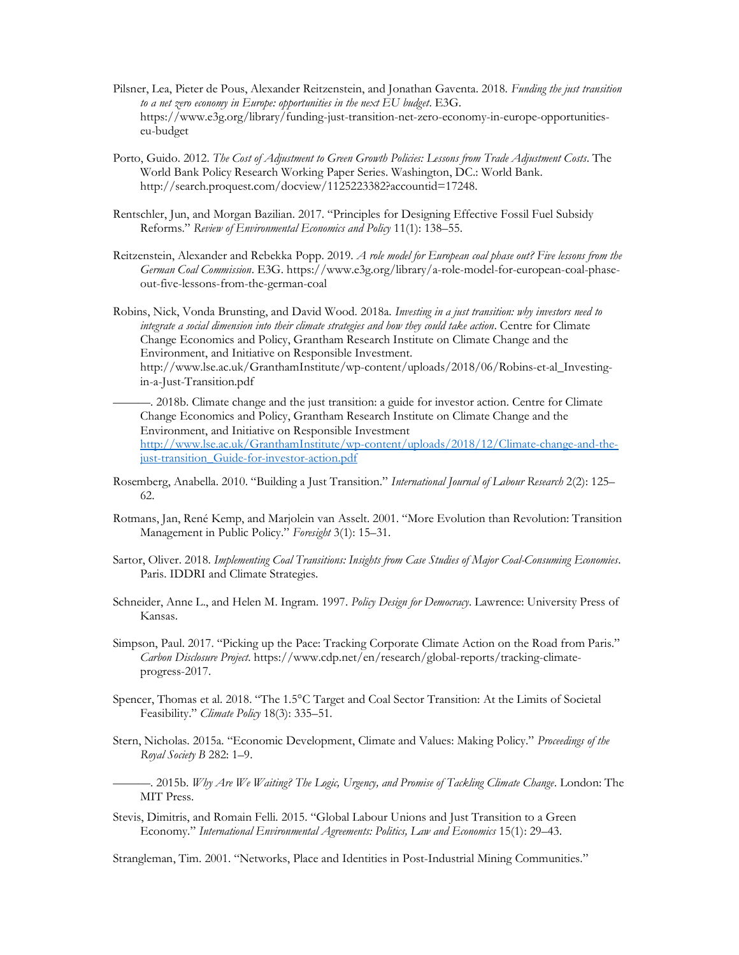- Pilsner, Lea, Pieter de Pous, Alexander Reitzenstein, and Jonathan Gaventa. 2018. Funding the just transition to a net zero economy in Europe: opportunities in the next EU budget. E3G. https://www.e3g.org/library/funding-just-transition-net-zero-economy-in-europe-opportunitieseu-budget
- Porto, Guido. 2012. The Cost of Adjustment to Green Growth Policies: Lessons from Trade Adjustment Costs. The World Bank Policy Research Working Paper Series. Washington, DC.: World Bank. http://search.proquest.com/docview/1125223382?accountid=17248.
- Rentschler, Jun, and Morgan Bazilian. 2017. "Principles for Designing Effective Fossil Fuel Subsidy Reforms." Review of Environmental Economics and Policy 11(1): 138-55.
- Reitzenstein, Alexander and Rebekka Popp. 2019. A role model for European coal phase out? Five lessons from the German Coal Commission. E3G. https://www.e3g.org/library/a-role-model-for-european-coal-phaseout-five-lessons-from-the-german-coal

Robins, Nick, Vonda Brunsting, and David Wood. 2018a. Investing in a just transition: why investors need to integrate a social dimension into their climate strategies and how they could take action. Centre for Climate Change Economics and Policy, Grantham Research Institute on Climate Change and the Environment, and Initiative on Responsible Investment. http://www.lse.ac.uk/GranthamInstitute/wp-content/uploads/2018/06/Robins-et-al\_Investingin-a-Just-Transition.pdf

———. 2018b. Climate change and the just transition: a guide for investor action. Centre for Climate Change Economics and Policy, Grantham Research Institute on Climate Change and the Environment, and Initiative on Responsible Investment http://www.lse.ac.uk/GranthamInstitute/wp-content/uploads/2018/12/Climate-change-and-thejust-transition\_Guide-for-investor-action.pdf

- Rosemberg, Anabella. 2010. "Building a Just Transition." International Journal of Labour Research 2(2): 125-62.
- Rotmans, Jan, René Kemp, and Marjolein van Asselt. 2001. "More Evolution than Revolution: Transition Management in Public Policy." Foresight 3(1): 15–31.
- Sartor, Oliver. 2018. Implementing Coal Transitions: Insights from Case Studies of Major Coal-Consuming Economies. Paris. IDDRI and Climate Strategies.
- Schneider, Anne L., and Helen M. Ingram. 1997. Policy Design for Democracy. Lawrence: University Press of Kansas.
- Simpson, Paul. 2017. "Picking up the Pace: Tracking Corporate Climate Action on the Road from Paris." Carbon Disclosure Project. https://www.cdp.net/en/research/global-reports/tracking-climateprogress-2017.
- Spencer, Thomas et al. 2018. "The 1.5°C Target and Coal Sector Transition: At the Limits of Societal Feasibility." Climate Policy 18(3): 335-51.
- Stern, Nicholas. 2015a. "Economic Development, Climate and Values: Making Policy." Proceedings of the Royal Society B 282: 1–9.

———. 2015b. Why Are We Waiting? The Logic, Urgency, and Promise of Tackling Climate Change. London: The MIT Press.

Stevis, Dimitris, and Romain Felli. 2015. "Global Labour Unions and Just Transition to a Green Economy." International Environmental Agreements: Politics, Law and Economics 15(1): 29–43.

Strangleman, Tim. 2001. "Networks, Place and Identities in Post-Industrial Mining Communities."